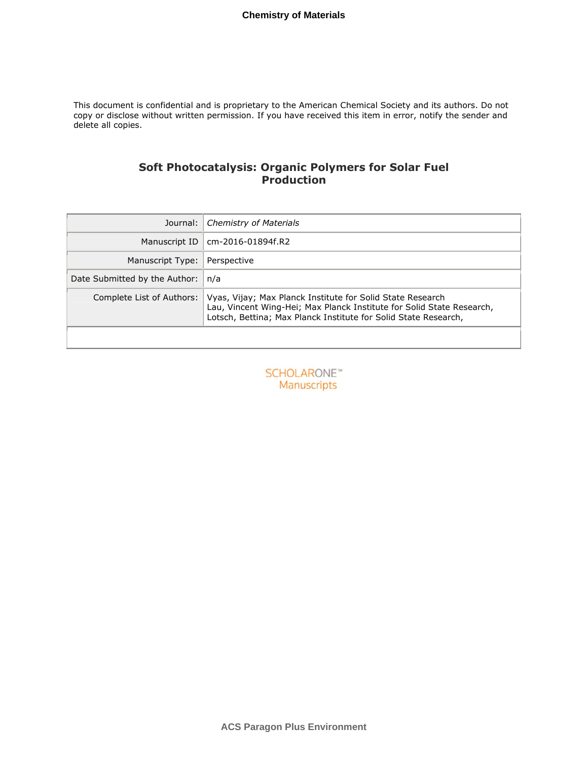This document is confidential and is proprietary to the American Chemical Society and its authors. Do not copy or disclose without written permission. If you have received this item in error, notify the sender and delete all copies.

# **Soft Photocatalysis: Organic Polymers for Solar Fuel Production**

| Journal:                      | <b>Chemistry of Materials</b>                                                                                                                                                                          |
|-------------------------------|--------------------------------------------------------------------------------------------------------------------------------------------------------------------------------------------------------|
| Manuscript ID                 | cm-2016-01894f.R2                                                                                                                                                                                      |
| Manuscript Type:              | Perspective                                                                                                                                                                                            |
| Date Submitted by the Author: | n/a                                                                                                                                                                                                    |
| Complete List of Authors:     | Vyas, Vijay; Max Planck Institute for Solid State Research<br>Lau, Vincent Wing-Hei; Max Planck Institute for Solid State Research,<br>Lotsch, Bettina; Max Planck Institute for Solid State Research, |

**SCHOLARONE™** Manuscripts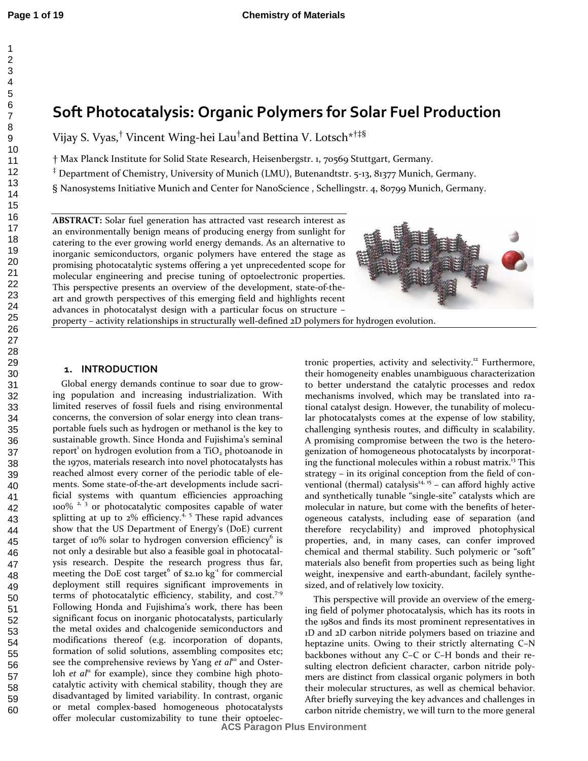# **Soft Photocatalysis: Organic Polymers for Solar Fuel Production**

Vijay S. Vyas,† Vincent Wing-hei Lau† and Bettina V. Lotsch\*†‡§

† Max Planck Institute for Solid State Research, Heisenbergstr. 1, 70569 Stuttgart, Germany.

‡ Department of Chemistry, University of Munich (LMU), Butenandtstr. 5-13, 81377 Munich, Germany.

§ Nanosystems Initiative Munich and Center for NanoScience , Schellingstr. 4, 80799 Munich, Germany.

**ABSTRACT:** Solar fuel generation has attracted vast research interest as an environmentally benign means of producing energy from sunlight for catering to the ever growing world energy demands. As an alternative to inorganic semiconductors, organic polymers have entered the stage as promising photocatalytic systems offering a yet unprecedented scope for molecular engineering and precise tuning of optoelectronic properties. This perspective presents an overview of the development, state-of-theart and growth perspectives of this emerging field and highlights recent advances in photocatalyst design with a particular focus on structure –



property – activity relationships in structurally well-defined 2D polymers for hydrogen evolution.

#### **1. INTRODUCTION**

Global energy demands continue to soar due to growing population and increasing industrialization. With limited reserves of fossil fuels and rising environmental concerns, the conversion of solar energy into clean transportable fuels such as hydrogen or methanol is the key to sustainable growth. Since Honda and Fujishima's seminal report<sup>1</sup> on hydrogen evolution from a TiO<sub>2</sub> photoanode in the 1970s, materials research into novel photocatalysts has reached almost every corner of the periodic table of elements. Some state-of-the-art developments include sacrificial systems with quantum efficiencies approaching 100%<sup>2, 3</sup> or photocatalytic composites capable of water splitting at up to  $2\%$  efficiency.<sup>4, 5</sup> These rapid advances show that the US Department of Energy's (DoE) current target of 10% solar to hydrogen conversion efficiency<sup>6</sup> is not only a desirable but also a feasible goal in photocatalysis research. Despite the research progress thus far, meeting the DoE cost target  $6$  of \$2.10 kg<sup>-1</sup> for commercial deployment still requires significant improvements in terms of photocatalytic efficiency, stability, and  $cost.^{7.9}$ Following Honda and Fujishima's work, there has been significant focus on inorganic photocatalysts, particularly the metal oxides and chalcogenide semiconductors and modifications thereof (e.g. incorporation of dopants, formation of solid solutions, assembling composites etc; see the comprehensive reviews by Yang et al<sup>10</sup> and Osterloh *et al*<sup>11</sup> for example), since they combine high photocatalytic activity with chemical stability, though they are disadvantaged by limited variability. In contrast, organic or metal complex-based homogeneous photocatalysts offer molecular customizability to tune their optoelectronic properties, activity and selectivity.<sup>12</sup> Furthermore, their homogeneity enables unambiguous characterization to better understand the catalytic processes and redox mechanisms involved, which may be translated into rational catalyst design. However, the tunability of molecular photocatalysts comes at the expense of low stability, challenging synthesis routes, and difficulty in scalability. A promising compromise between the two is the heterogenization of homogeneous photocatalysts by incorporating the functional molecules within a robust matrix. <sup>13</sup> This strategy – in its original conception from the field of conventional (thermal) catalysis $14, 15$  – can afford highly active and synthetically tunable "single-site" catalysts which are molecular in nature, but come with the benefits of heterogeneous catalysts, including ease of separation (and therefore recyclability) and improved photophysical properties, and, in many cases, can confer improved chemical and thermal stability. Such polymeric or "soft" materials also benefit from properties such as being light weight, inexpensive and earth-abundant, facilely synthesized, and of relatively low toxicity.

This perspective will provide an overview of the emerging field of polymer photocatalysis, which has its roots in the 1980s and finds its most prominent representatives in 1D and 2D carbon nitride polymers based on triazine and heptazine units. Owing to their strictly alternating C–N backbones without any C–C or C–H bonds and their resulting electron deficient character, carbon nitride polymers are distinct from classical organic polymers in both their molecular structures, as well as chemical behavior. After briefly surveying the key advances and challenges in carbon nitride chemistry, we will turn to the more general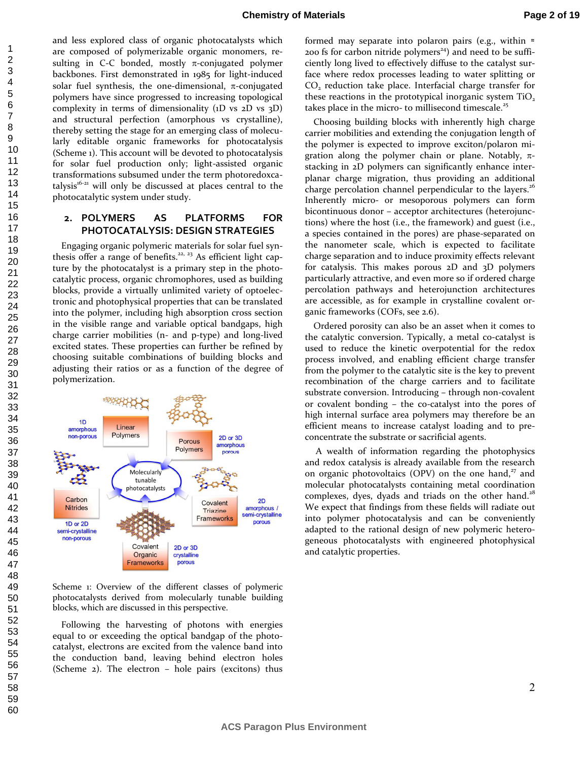and less explored class of organic photocatalysts which are composed of polymerizable organic monomers, resulting in C-C bonded, mostly  $\pi$ -conjugated polymer backbones. First demonstrated in 1985 for light-induced solar fuel synthesis, the one-dimensional,  $\pi$ -conjugated polymers have since progressed to increasing topological complexity in terms of dimensionality (1D vs 2D vs 3D) and structural perfection (amorphous vs crystalline), thereby setting the stage for an emerging class of molecularly editable organic frameworks for photocatalysis (Scheme 1). This account will be devoted to photocatalysis for solar fuel production only; light-assisted organic transformations subsumed under the term photoredoxcatalysis<sup>16-21</sup> will only be discussed at places central to the photocatalytic system under study.

### **2. POLYMERS AS PLATFORMS FOR PHOTOCATALYSIS: DESIGN STRATEGIES**

Engaging organic polymeric materials for solar fuel synthesis offer a range of benefits.<sup>22, 23</sup> As efficient light capture by the photocatalyst is a primary step in the photocatalytic process, organic chromophores, used as building blocks, provide a virtually unlimited variety of optoelectronic and photophysical properties that can be translated into the polymer, including high absorption cross section in the visible range and variable optical bandgaps, high charge carrier mobilities (n- and p-type) and long-lived excited states. These properties can further be refined by choosing suitable combinations of building blocks and adjusting their ratios or as a function of the degree of polymerization.



Scheme 1: Overview of the different classes of polymeric photocatalysts derived from molecularly tunable building blocks, which are discussed in this perspective.

Following the harvesting of photons with energies equal to or exceeding the optical bandgap of the photocatalyst, electrons are excited from the valence band into the conduction band, leaving behind electron holes (Scheme 2). The electron – hole pairs (excitons) thus

formed may separate into polaron pairs (e.g., within ≈ 200 fs for carbon nitride polymers<sup>24</sup>) and need to be sufficiently long lived to effectively diffuse to the catalyst surface where redox processes leading to water splitting or CO<sub>2</sub> reduction take place. Interfacial charge transfer for these reactions in the prototypical inorganic system TiO. takes place in the micro- to millisecond timescale.<sup>25</sup>

Choosing building blocks with inherently high charge carrier mobilities and extending the conjugation length of the polymer is expected to improve exciton/polaron migration along the polymer chain or plane. Notably,  $\pi$ stacking in 2D polymers can significantly enhance interplanar charge migration, thus providing an additional charge percolation channel perpendicular to the layers.<sup>26</sup> Inherently micro- or mesoporous polymers can form bicontinuous donor – acceptor architectures (heterojunctions) where the host (i.e., the framework) and guest (i.e., a species contained in the pores) are phase-separated on the nanometer scale, which is expected to facilitate charge separation and to induce proximity effects relevant for catalysis. This makes porous 2D and 3D polymers particularly attractive, and even more so if ordered charge percolation pathways and heterojunction architectures are accessible, as for example in crystalline covalent organic frameworks (COFs, see 2.6).

Ordered porosity can also be an asset when it comes to the catalytic conversion. Typically, a metal co-catalyst is used to reduce the kinetic overpotential for the redox process involved, and enabling efficient charge transfer from the polymer to the catalytic site is the key to prevent recombination of the charge carriers and to facilitate substrate conversion. Introducing – through non-covalent or covalent bonding – the co-catalyst into the pores of high internal surface area polymers may therefore be an efficient means to increase catalyst loading and to preconcentrate the substrate or sacrificial agents.

 A wealth of information regarding the photophysics and redox catalysis is already available from the research on organic photovoltaics (OPV) on the one hand, $27$  and molecular photocatalysts containing metal coordination complexes, dyes, dyads and triads on the other hand.<sup>28</sup> We expect that findings from these fields will radiate out into polymer photocatalysis and can be conveniently adapted to the rational design of new polymeric heterogeneous photocatalysts with engineered photophysical and catalytic properties.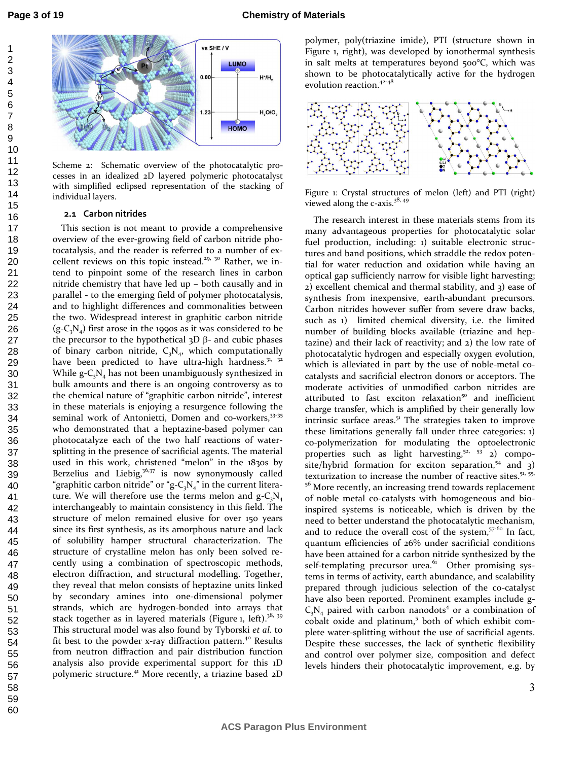

Scheme 2: Schematic overview of the photocatalytic processes in an idealized 2D layered polymeric photocatalyst with simplified eclipsed representation of the stacking of individual layers.

#### **2.1 Carbon nitrides**

This section is not meant to provide a comprehensive overview of the ever-growing field of carbon nitride photocatalysis, and the reader is referred to a number of excellent reviews on this topic instead.<sup>29, 30</sup> Rather, we intend to pinpoint some of the research lines in carbon nitride chemistry that have led up – both causally and in parallel - to the emerging field of polymer photocatalysis, and to highlight differences and commonalities between the two. Widespread interest in graphitic carbon nitride  $(g-C<sub>3</sub>N<sub>4</sub>)$  first arose in the 1990s as it was considered to be the precursor to the hypothetical  $3D$  β- and cubic phases of binary carbon nitride,  $C_3N_4$ , which computationally have been predicted to have ultra-high hardness.<sup>31, 32</sup> While  $g - C_3N_4$  has not been unambiguously synthesized in bulk amounts and there is an ongoing controversy as to the chemical nature of "graphitic carbon nitride", interest in these materials is enjoying a resurgence following the seminal work of Antonietti, Domen and co-workers, 33-35 who demonstrated that a heptazine-based polymer can photocatalyze each of the two half reactions of watersplitting in the presence of sacrificial agents. The material used in this work, christened "melon" in the 1830s by Berzelius and Liebig,  $36,37$  is now synonymously called "graphitic carbon nitride" or "g- $C_3N_4$ " in the current literature. We will therefore use the terms melon and  $g - C_3N_4$ interchangeably to maintain consistency in this field. The structure of melon remained elusive for over 150 years since its first synthesis, as its amorphous nature and lack of solubility hamper structural characterization. The structure of crystalline melon has only been solved recently using a combination of spectroscopic methods, electron diffraction, and structural modelling. Together, they reveal that melon consists of heptazine units linked by secondary amines into one-dimensional polymer strands, which are hydrogen-bonded into arrays that stack together as in layered materials (Figure 1, left).<sup>38, 39</sup> This structural model was also found by Tyborski *et al.* to fit best to the powder x-ray diffraction pattern.<sup>40</sup> Results from neutron diffraction and pair distribution function analysis also provide experimental support for this 1D polymeric structure.<sup>41</sup> More recently, a triazine based 2D

polymer, poly(triazine imide), PTI (structure shown in Figure 1, right), was developed by ionothermal synthesis in salt melts at temperatures beyond 500°C, which was shown to be photocatalytically active for the hydrogen evolution reaction.<sup>42-48</sup>



Figure 1: Crystal structures of melon (left) and PTI (right) viewed along the c-axis.<sup>38, 49</sup>

The research interest in these materials stems from its many advantageous properties for photocatalytic solar fuel production, including: 1) suitable electronic structures and band positions, which straddle the redox potential for water reduction and oxidation while having an optical gap sufficiently narrow for visible light harvesting; 2) excellent chemical and thermal stability, and 3) ease of synthesis from inexpensive, earth-abundant precursors. Carbon nitrides however suffer from severe draw backs, such as 1) limited chemical diversity, i.e. the limited number of building blocks available (triazine and heptazine) and their lack of reactivity; and 2) the low rate of photocatalytic hydrogen and especially oxygen evolution, which is alleviated in part by the use of noble-metal cocatalysts and sacrificial electron donors or acceptors. The moderate activities of unmodified carbon nitrides are attributed to fast exciton relaxation<sup>50</sup> and inefficient charge transfer, which is amplified by their generally low intrinsic surface areas. $5<sup>1</sup>$  The strategies taken to improve these limitations generally fall under three categories: 1) co-polymerization for modulating the optoelectronic properties such as light harvesting,<sup>52, 53</sup> 2) composite/hybrid formation for exciton separation, $54$  and 3) texturization to increase the number of reactive sites.<sup>51, 55,</sup> <sup>56</sup> More recently, an increasing trend towards replacement of noble metal co-catalysts with homogeneous and bioinspired systems is noticeable, which is driven by the need to better understand the photocatalytic mechanism, and to reduce the overall cost of the system, $57-60$  In fact, quantum efficiencies of 26% under sacrificial conditions have been attained for a carbon nitride synthesized by the self-templating precursor urea. $61$  Other promising systems in terms of activity, earth abundance, and scalability prepared through judicious selection of the co-catalyst have also been reported. Prominent examples include g- $C_3N_4$  paired with carbon nanodots<sup>4</sup> or a combination of cobalt oxide and platinum,<sup>5</sup> both of which exhibit complete water-splitting without the use of sacrificial agents. Despite these successes, the lack of synthetic flexibility and control over polymer size, composition and defect levels hinders their photocatalytic improvement, e.g. by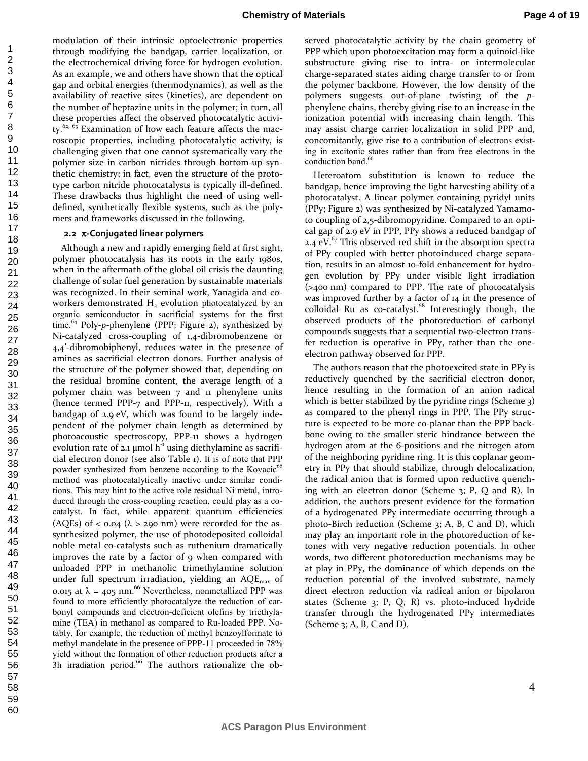modulation of their intrinsic optoelectronic properties through modifying the bandgap, carrier localization, or the electrochemical driving force for hydrogen evolution. As an example, we and others have shown that the optical gap and orbital energies (thermodynamics), as well as the availability of reactive sites (kinetics), are dependent on the number of heptazine units in the polymer; in turn, all these properties affect the observed photocatalytic activity. $62, 63$  Examination of how each feature affects the macroscopic properties, including photocatalytic activity, is challenging given that one cannot systematically vary the polymer size in carbon nitrides through bottom-up synthetic chemistry; in fact, even the structure of the prototype carbon nitride photocatalysts is typically ill-defined. These drawbacks thus highlight the need of using welldefined, synthetically flexible systems, such as the polymers and frameworks discussed in the following.

#### **2.2** π**-Conjugated linear polymers**

Although a new and rapidly emerging field at first sight, polymer photocatalysis has its roots in the early 1980s, when in the aftermath of the global oil crisis the daunting challenge of solar fuel generation by sustainable materials was recognized. In their seminal work, Yanagida and coworkers demonstrated  $H_2$  evolution photocatalyzed by an organic semiconductor in sacrificial systems for the first time.<sup>64</sup> Poly-*p*-phenylene (PPP; Figure 2), synthesized by Ni-catalyzed cross-coupling of 1,4-dibromobenzene or 4,4'-dibromobiphenyl, reduces water in the presence of amines as sacrificial electron donors. Further analysis of the structure of the polymer showed that, depending on the residual bromine content, the average length of a polymer chain was between 7 and 11 phenylene units (hence termed PPP-7 and PPP-11, respectively). With a bandgap of 2.9 eV, which was found to be largely independent of the polymer chain length as determined by photoacoustic spectroscopy, PPP-11 shows a hydrogen evolution rate of  $2.1 \mu$ mol h<sup>-1</sup> using diethylamine as sacrificial electron donor (see also Table 1). It is of note that PPP powder synthesized from benzene according to the Kovacic<sup>65</sup> method was photocatalytically inactive under similar conditions. This may hint to the active role residual Ni metal, introduced through the cross-coupling reaction, could play as a cocatalyst. In fact, while apparent quantum efficiencies (AQEs) of  $<$  0.04 ( $\lambda$  > 290 nm) were recorded for the assynthesized polymer, the use of photodeposited colloidal noble metal co-catalysts such as ruthenium dramatically improves the rate by a factor of 9 when compared with unloaded PPP in methanolic trimethylamine solution under full spectrum irradiation, yielding an  $AQE<sub>max</sub>$  of 0.015 at  $\lambda$  = 405 nm.<sup>66</sup> Nevertheless, nonmetallized PPP was found to more efficiently photocatalyze the reduction of carbonyl compounds and electron-deficient olefins by triethylamine (TEA) in methanol as compared to Ru-loaded PPP. Notably, for example, the reduction of methyl benzoylformate to methyl mandelate in the presence of PPP-11 proceeded in 78% yield without the formation of other reduction products after a 3h irradiation period. $66$  The authors rationalize the ob-

served photocatalytic activity by the chain geometry of PPP which upon photoexcitation may form a quinoid-like substructure giving rise to intra- or intermolecular charge-separated states aiding charge transfer to or from the polymer backbone. However, the low density of the polymers suggests out-of-plane twisting of the *p*phenylene chains, thereby giving rise to an increase in the ionization potential with increasing chain length. This may assist charge carrier localization in solid PPP and, concomitantly, give rise to a contribution of electrons existing in excitonic states rather than from free electrons in the conduction band.<sup>66</sup>

Heteroatom substitution is known to reduce the bandgap, hence improving the light harvesting ability of a photocatalyst. A linear polymer containing pyridyl units (PPy; Figure 2) was synthesized by Ni-catalyzed Yamamoto coupling of 2,5-dibromopyridine. Compared to an optical gap of 2.9 eV in PPP, PPy shows a reduced bandgap of 2.4  $eV$ .<sup>67</sup> This observed red shift in the absorption spectra of PPy coupled with better photoinduced charge separation, results in an almost 10-fold enhancement for hydrogen evolution by PPy under visible light irradiation (>400 nm) compared to PPP. The rate of photocatalysis was improved further by a factor of 14 in the presence of colloidal Ru as co-catalyst.<sup>68</sup> Interestingly though, the observed products of the photoreduction of carbonyl compounds suggests that a sequential two-electron transfer reduction is operative in PPy, rather than the oneelectron pathway observed for PPP.

The authors reason that the photoexcited state in PPy is reductively quenched by the sacrificial electron donor, hence resulting in the formation of an anion radical which is better stabilized by the pyridine rings (Scheme 3) as compared to the phenyl rings in PPP. The PPy structure is expected to be more co-planar than the PPP backbone owing to the smaller steric hindrance between the hydrogen atom at the 6-positions and the nitrogen atom of the neighboring pyridine ring. It is this coplanar geometry in PPy that should stabilize, through delocalization, the radical anion that is formed upon reductive quenching with an electron donor (Scheme 3; P, Q and R). In addition, the authors present evidence for the formation of a hydrogenated PPy intermediate occurring through a photo-Birch reduction (Scheme 3; A, B, C and D), which may play an important role in the photoreduction of ketones with very negative reduction potentials. In other words, two different photoreduction mechanisms may be at play in PPy, the dominance of which depends on the reduction potential of the involved substrate, namely direct electron reduction via radical anion or bipolaron states (Scheme 3; P, Q, R) vs. photo-induced hydride transfer through the hydrogenated PPy intermediates (Scheme 3; A, B, C and D).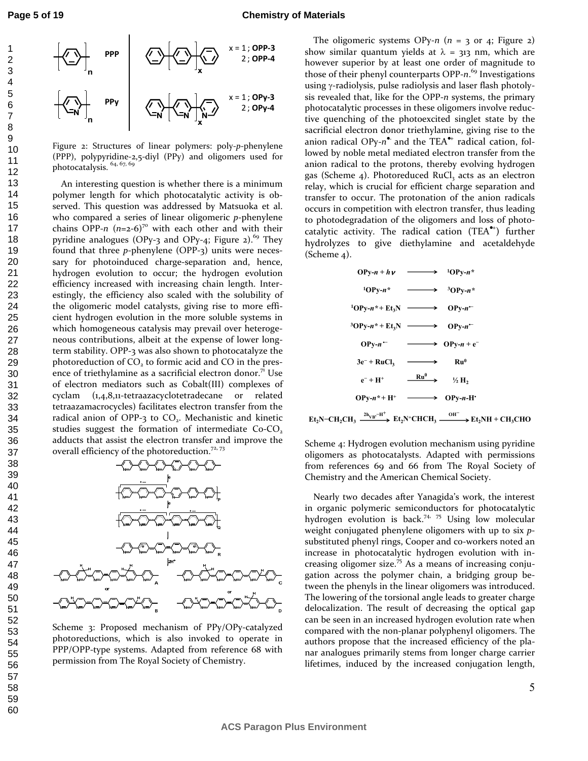

Figure 2: Structures of linear polymers: poly-*p*-phenylene (PPP), polypyridine-2,5-diyl (PPy) and oligomers used for photocatalysis.  $64, 67, 69$ 

An interesting question is whether there is a minimum polymer length for which photocatalytic activity is observed. This question was addressed by Matsuoka et al. who compared a series of linear oligomeric *p*-phenylene chains OPP- $n$  ( $n=2-6$ )<sup>70</sup> with each other and with their pyridine analogues (OPy-3 and OPy-4; Figure 2).<sup>69</sup> They found that three *p*-phenylene (OPP-3) units were necessary for photoinduced charge-separation and, hence, hydrogen evolution to occur; the hydrogen evolution efficiency increased with increasing chain length. Interestingly, the efficiency also scaled with the solubility of the oligomeric model catalysts, giving rise to more efficient hydrogen evolution in the more soluble systems in which homogeneous catalysis may prevail over heterogeneous contributions, albeit at the expense of lower longterm stability. OPP-3 was also shown to photocatalyze the photoreduction of  $CO<sub>2</sub>$  to formic acid and CO in the presence of triethylamine as a sacrificial electron donor.<sup>71</sup> Use of electron mediators such as Cobalt(III) complexes of cyclam (1,4,8,11-tetraazacyclotetradecane or related tetraazamacrocycles) facilitates electron transfer from the radical anion of OPP-3 to CO<sub>2</sub>. Mechanistic and kinetic studies suggest the formation of intermediate  $Co$ - $CO<sub>2</sub>$ adducts that assist the electron transfer and improve the overall efficiency of the photoreduction.<sup>72, 73</sup>



Scheme 3: Proposed mechanism of PPy/OPy-catalyzed photoreductions, which is also invoked to operate in PPP/OPP-type systems. Adapted from reference 68 with permission from The Royal Society of Chemistry.

The oligomeric systems OPy- $n$  ( $n = 3$  or 4; Figure 2) show similar quantum yields at  $\lambda$  = 313 nm, which are however superior by at least one order of magnitude to those of their phenyl counterparts OPP-*n*. <sup>69</sup> Investigations using γ-radiolysis, pulse radiolysis and laser flash photolysis revealed that, like for the OPP-*n* systems, the primary photocatalytic processes in these oligomers involve reductive quenching of the photoexcited singlet state by the sacrificial electron donor triethylamine, giving rise to the anion radical OPy-n<sup>•</sup> and the TEA<sup>•+</sup> radical cation, followed by noble metal mediated electron transfer from the anion radical to the protons, thereby evolving hydrogen gas (Scheme 4). Photoreduced RuCl<sub>3</sub> acts as an electron relay, which is crucial for efficient charge separation and transfer to occur. The protonation of the anion radicals occurs in competition with electron transfer, thus leading to photodegradation of the oligomers and loss of photocatalytic activity. The radical cation (TEA●<sup>+</sup> ) further hydrolyzes to give diethylamine and acetaldehyde (Scheme 4).

$$
OPy-n+h\nu \longrightarrow 10Py-n^*
$$
\n
$$
10Py-n^* \longrightarrow 30Py-n^*
$$
\n
$$
10Py-n^* + Et_3N \longrightarrow OPy-n^*
$$
\n
$$
30Py-n^* + Et_3N \longrightarrow OPy-n^-
$$
\n
$$
0Py-n^- \longrightarrow OPy-n+e^-
$$
\n
$$
3e^- + RuCl_3 \longrightarrow Ru^0
$$
\n
$$
e^- + H^+ \longrightarrow Hu^0 \longrightarrow H_2
$$
\n
$$
OPy-n^* + H^+ \longrightarrow OPy-n-H^*
$$

 $\text{Et}_2\text{N} - \text{CH}_2\text{CH}_3 \xrightarrow{2\text{h}_{\text{VB}} - \text{H}^+} \text{Et}_2\text{N}^+ \text{CHCH}_3 \xrightarrow{\text{OH}^-} \text{Et}_2\text{NH} + \text{CH}_3\text{CHO}$ 

Scheme 4: Hydrogen evolution mechanism using pyridine oligomers as photocatalysts. Adapted with permissions from references 69 and 66 from The Royal Society of Chemistry and the American Chemical Society.

Nearly two decades after Yanagida's work, the interest in organic polymeric semiconductors for photocatalytic hydrogen evolution is back.<sup>74, 75</sup> Using low molecular weight conjugated phenylene oligomers with up to six *p*substituted phenyl rings, Cooper and co-workers noted an increase in photocatalytic hydrogen evolution with increasing oligomer size.<sup>75</sup> As a means of increasing conjugation across the polymer chain, a bridging group between the phenyls in the linear oligomers was introduced. The lowering of the torsional angle leads to greater charge delocalization. The result of decreasing the optical gap can be seen in an increased hydrogen evolution rate when compared with the non-planar polyphenyl oligomers. The authors propose that the increased efficiency of the planar analogues primarily stems from longer charge carrier lifetimes, induced by the increased conjugation length,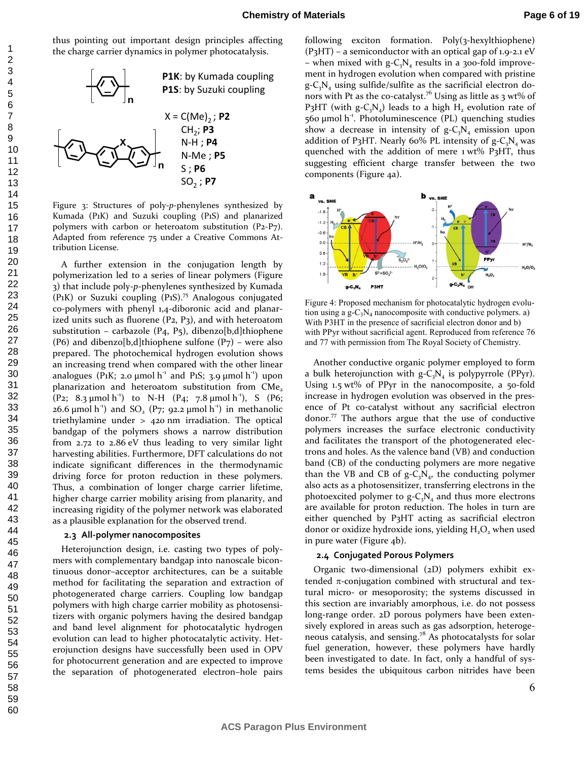thus pointing out important design principles affecting the charge carrier dynamics in polymer photocatalysis.



Figure 3: Structures of poly-*p*-phenylenes synthesized by Kumada (P1K) and Suzuki coupling (P1S) and planarized polymers with carbon or heteroatom substitution (P2-P7). Adapted from reference 75 under a Creative Commons Attribution License.

A further extension in the conjugation length by polymerization led to a series of linear polymers (Figure 3) that include poly-*p*-phenylenes synthesized by Kumada (P1K) or Suzuki coupling (P1S).<sup>75</sup> Analogous conjugated co-polymers with phenyl 1,4-diboronic acid and planarized units such as fluorene  $(P_2, P_3)$ , and with heteroatom substitution – carbazole (P4, P5), dibenzo[b,d]thiophene (P6) and dibenzo[b,d]thiophene sulfone (P7) – were also prepared. The photochemical hydrogen evolution shows an increasing trend when compared with the other linear analogues (P1K; 2.0  $\mu$ mol h<sup>-1</sup> and P1S; 3.9  $\mu$ mol h<sup>-1</sup>) upon planarization and heteroatom substitution from CMe,  $(P_2; 8.3 \text{ µmol h}^{-1})$  to N-H  $(P_4; 7.8 \text{ µmol h}^{-1})$ , S  $(P_6;$ 26.6  $\mu$ mol h<sup>-1</sup>) and SO<sub>2</sub> (P7; 92.2  $\mu$ mol h<sup>-1</sup>) in methanolic triethylamine under > 420 nm irradiation. The optical bandgap of the polymers shows a narrow distribution from 2.72 to 2.86 eV thus leading to very similar light harvesting abilities. Furthermore, DFT calculations do not indicate significant differences in the thermodynamic driving force for proton reduction in these polymers. Thus, a combination of longer charge carrier lifetime, higher charge carrier mobility arising from planarity, and increasing rigidity of the polymer network was elaborated as a plausible explanation for the observed trend.

#### **2.3 All-polymer nanocomposites**

Heterojunction design, i.e. casting two types of polymers with complementary bandgap into nanoscale bicontinuous donor–acceptor architectures, can be a suitable method for facilitating the separation and extraction of photogenerated charge carriers. Coupling low bandgap polymers with high charge carrier mobility as photosensitizers with organic polymers having the desired bandgap and band level alignment for photocatalytic hydrogen evolution can lead to higher photocatalytic activity. Heterojunction designs have successfully been used in OPV for photocurrent generation and are expected to improve the separation of photogenerated electron–hole pairs

following exciton formation. Poly(3-hexylthiophene) (P3HT) – a semiconductor with an optical gap of 1.9-2.1 eV – when mixed with  $g - C_3N_4$  results in a 300-fold improvement in hydrogen evolution when compared with pristine  $g - C_3N_4$  using sulfide/sulfite as the sacrificial electron donors with Pt as the co-catalyst.<sup>76</sup> Using as little as 3 wt% of P3HT (with  $g - C_3 N_4$ ) leads to a high  $H_2$  evolution rate of  $560 \mu$ mol h<sup>-1</sup>. Photoluminescence (PL) quenching studies show a decrease in intensity of  $g - C_3N_4$  emission upon addition of P<sub>3</sub>HT. Nearly 60% PL intensity of  $g - C_3N_4$  was quenched with the addition of mere 1 wt% P3HT, thus suggesting efficient charge transfer between the two components (Figure 4a).



Figure 4: Proposed mechanism for photocatalytic hydrogen evolution using a  $g - C_3 N_4$  nanocomposite with conductive polymers. a) With P3HT in the presence of sacrificial electron donor and b) with PPyr without sacrificial agent. Reproduced from reference 76 and 77 with permission from The Royal Society of Chemistry.

Another conductive organic polymer employed to form a bulk heterojunction with  $g - C_3N_4$  is polypyrrole (PPyr). Using 1.5 wt% of PPyr in the nanocomposite, a 50-fold increase in hydrogen evolution was observed in the presence of Pt co-catalyst without any sacrificial electron donor.<sup>77</sup> The authors argue that the use of conductive polymers increases the surface electronic conductivity and facilitates the transport of the photogenerated electrons and holes. As the valence band (VB) and conduction band (CB) of the conducting polymers are more negative than the VB and CB of  $g - C_3N_4$ , the conducting polymer also acts as a photosensitizer, transferring electrons in the photoexcited polymer to  $g - C_3N_4$  and thus more electrons are available for proton reduction. The holes in turn are either quenched by P3HT acting as sacrificial electron donor or oxidize hydroxide ions, yielding  $\rm H_2O_2$  when used in pure water (Figure 4b).

#### **2.4 Conjugated Porous Polymers**

Organic two-dimensional (2D) polymers exhibit extended  $π$ -conjugation combined with structural and textural micro- or mesoporosity; the systems discussed in this section are invariably amorphous, i.e. do not possess long-range order. 2D porous polymers have been extensively explored in areas such as gas adsorption, heterogeneous catalysis, and sensing.<sup>78</sup> As photocatalysts for solar fuel generation, however, these polymers have hardly been investigated to date. In fact, only a handful of systems besides the ubiquitous carbon nitrides have been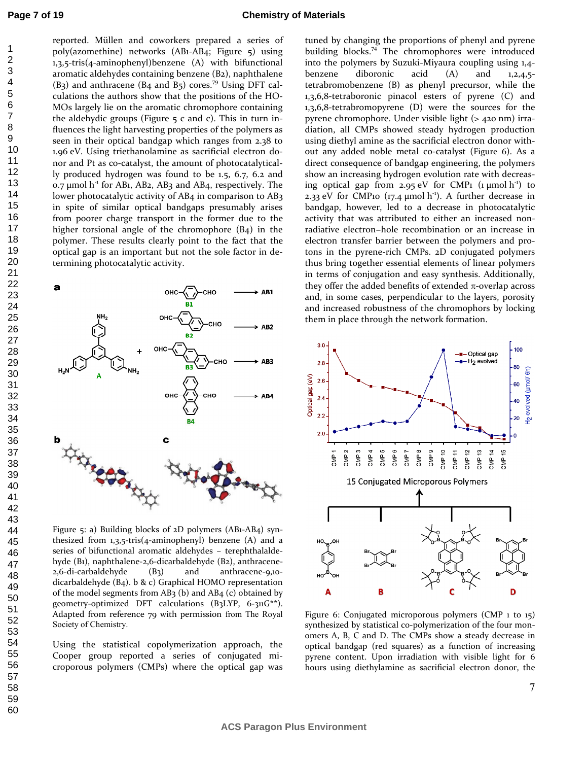reported. Müllen and coworkers prepared a series of poly(azomethine) networks (AB1-AB4; Figure 5) using 1,3,5-tris(4-aminophenyl)benzene (A) with bifunctional aromatic aldehydes containing benzene (B2), naphthalene  $(B_3)$  and anthracene  $(B_4$  and  $B_5)$  cores.<sup>79</sup> Using DFT calculations the authors show that the positions of the HO-MOs largely lie on the aromatic chromophore containing the aldehydic groups (Figure  $\frac{1}{2}$  c and c). This in turn influences the light harvesting properties of the polymers as seen in their optical bandgap which ranges from 2.38 to 1.96 eV. Using triethanolamine as sacrificial electron donor and Pt as co-catalyst, the amount of photocatalytically produced hydrogen was found to be 1.5, 6.7, 6.2 and  $0.7 \mu$ mol h<sup>-1</sup> for AB1, AB2, AB3 and AB4, respectively. The lower photocatalytic activity of AB4 in comparison to AB3 in spite of similar optical bandgaps presumably arises from poorer charge transport in the former due to the higher torsional angle of the chromophore (B4) in the polymer. These results clearly point to the fact that the optical gap is an important but not the sole factor in determining photocatalytic activity.



Figure 5: a) Building blocks of 2D polymers (AB1-AB4) synthesized from 1,3,5-tris(4-aminophenyl) benzene (A) and a series of bifunctional aromatic aldehydes – terephthalaldehyde (B1), naphthalene-2,6-dicarbaldehyde (B2), anthracene-2,6-di-carbaldehyde (B3) and anthracene-9,10 dicarbaldehyde (B4). b & c) Graphical HOMO representation of the model segments from  $AB_3$  (b) and  $AB_4$  (c) obtained by geometry-optimized DFT calculations (B3LYP, 6-311G\*\*). Adapted from reference 79 with permission from The Royal Society of Chemistry.

Using the statistical copolymerization approach, the Cooper group reported a series of conjugated microporous polymers (CMPs) where the optical gap was

tuned by changing the proportions of phenyl and pyrene building blocks.<sup>74</sup> The chromophores were introduced into the polymers by Suzuki-Miyaura coupling using 1,4 benzene diboronic acid (A) and 1,2,4,5tetrabromobenzene (B) as phenyl precursor, while the 1,3,6,8-tetraboronic pinacol esters of pyrene (C) and 1,3,6,8-tetrabromopyrene (D) were the sources for the pyrene chromophore. Under visible light (> 420 nm) irradiation, all CMPs showed steady hydrogen production using diethyl amine as the sacrificial electron donor without any added noble metal co-catalyst (Figure 6). As a direct consequence of bandgap engineering, the polymers show an increasing hydrogen evolution rate with decreasing optical gap from 2.95 eV for CMP1  $(\mu \text{mol h}^{-1})$  to 2.33 eV for CMP10 (17.4  $\mu$ mol h<sup>-1</sup>). A further decrease in bandgap, however, led to a decrease in photocatalytic activity that was attributed to either an increased nonradiative electron−hole recombination or an increase in electron transfer barrier between the polymers and protons in the pyrene-rich CMPs. 2D conjugated polymers thus bring together essential elements of linear polymers in terms of conjugation and easy synthesis. Additionally, they offer the added benefits of extended  $\pi$ -overlap across and, in some cases, perpendicular to the layers, porosity and increased robustness of the chromophors by locking them in place through the network formation.



Figure 6: Conjugated microporous polymers (CMP 1 to 15) synthesized by statistical co-polymerization of the four monomers A, B, C and D. The CMPs show a steady decrease in optical bandgap (red squares) as a function of increasing pyrene content. Upon irradiation with visible light for 6 hours using diethylamine as sacrificial electron donor, the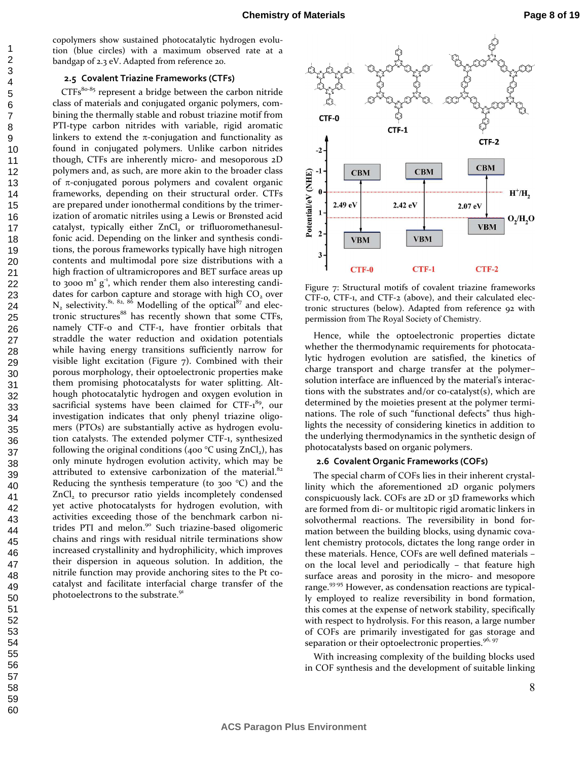copolymers show sustained photocatalytic hydrogen evolution (blue circles) with a maximum observed rate at a bandgap of 2.3 eV. Adapted from reference 20.

#### **2.5 Covalent Triazine Frameworks (CTFs)**

 $CTFs<sup>80-85</sup>$  represent a bridge between the carbon nitride class of materials and conjugated organic polymers, combining the thermally stable and robust triazine motif from PTI-type carbon nitrides with variable, rigid aromatic linkers to extend the  $\pi$ -conjugation and functionality as found in conjugated polymers. Unlike carbon nitrides though, CTFs are inherently micro- and mesoporous 2D polymers and, as such, are more akin to the broader class of π-conjugated porous polymers and covalent organic frameworks, depending on their structural order. CTFs are prepared under ionothermal conditions by the trimerization of aromatic nitriles using a Lewis or Brønsted acid catalyst, typically either  $ZnCl_{_2}$  or trifluoromethanesulfonic acid. Depending on the linker and synthesis conditions, the porous frameworks typically have high nitrogen contents and multimodal pore size distributions with a high fraction of ultramicropores and BET surface areas up to 3000  $m^2$   $g^1$ , which render them also interesting candidates for carbon capture and storage with high  $CO<sub>2</sub>$  over  $N_2$  selectivity.<sup>81, 82, 86</sup> Modelling of the optical<sup>87</sup> and electronic structures<sup>88</sup> has recently shown that some CTFs, namely CTF-0 and CTF-1, have frontier orbitals that straddle the water reduction and oxidation potentials while having energy transitions sufficiently narrow for visible light excitation (Figure 7). Combined with their porous morphology, their optoelectronic properties make them promising photocatalysts for water splitting. Although photocatalytic hydrogen and oxygen evolution in sacrificial systems have been claimed for CTF-1<sup>89</sup>, our investigation indicates that only phenyl triazine oligomers (PTOs) are substantially active as hydrogen evolution catalysts. The extended polymer CTF-1, synthesized following the original conditions (400  $^{\circ}$ C using ZnCl<sub>2</sub>), has only minute hydrogen evolution activity, which may be attributed to extensive carbonization of the material. $82$ Reducing the synthesis temperature (to 300  $^{\circ}$ C) and the ZnCl<sub>2</sub> to precursor ratio yields incompletely condensed yet active photocatalysts for hydrogen evolution, with activities exceeding those of the benchmark carbon nitrides PTI and melon.<sup>90</sup> Such triazine-based oligomeric chains and rings with residual nitrile terminations show increased crystallinity and hydrophilicity, which improves their dispersion in aqueous solution. In addition, the nitrile function may provide anchoring sites to the Pt cocatalyst and facilitate interfacial charge transfer of the photoelectrons to the substrate.<sup>91</sup>



Figure 7: Structural motifs of covalent triazine frameworks CTF-0, CTF-1, and CTF-2 (above), and their calculated electronic structures (below). Adapted from reference 92 with permission from The Royal Society of Chemistry.

Hence, while the optoelectronic properties dictate whether the thermodynamic requirements for photocatalytic hydrogen evolution are satisfied, the kinetics of charge transport and charge transfer at the polymer– solution interface are influenced by the material's interactions with the substrates and/or co-catalyst(s), which are determined by the moieties present at the polymer terminations. The role of such "functional defects" thus highlights the necessity of considering kinetics in addition to the underlying thermodynamics in the synthetic design of photocatalysts based on organic polymers.

#### **2.6 Covalent Organic Frameworks (COFs)**

The special charm of COFs lies in their inherent crystallinity which the aforementioned 2D organic polymers conspicuously lack. COFs are 2D or 3D frameworks which are formed from di- or multitopic rigid aromatic linkers in solvothermal reactions. The reversibility in bond formation between the building blocks, using dynamic covalent chemistry protocols, dictates the long range order in these materials. Hence, COFs are well defined materials – on the local level and periodically – that feature high surface areas and porosity in the micro- and mesopore range.<sup>93-95</sup> However, as condensation reactions are typically employed to realize reversibility in bond formation, this comes at the expense of network stability, specifically with respect to hydrolysis. For this reason, a large number of COFs are primarily investigated for gas storage and separation or their optoelectronic properties. $96, 97$ 

With increasing complexity of the building blocks used in COF synthesis and the development of suitable linking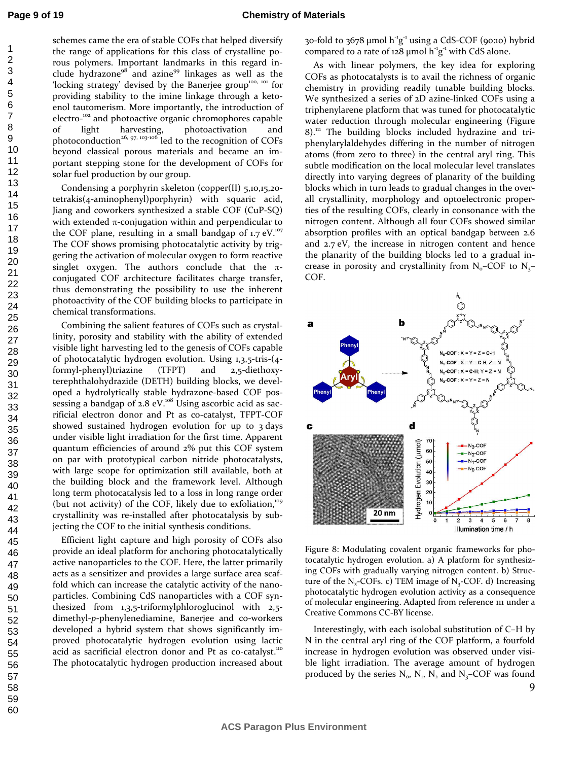schemes came the era of stable COFs that helped diversify the range of applications for this class of crystalline porous polymers. Important landmarks in this regard include hydrazone<sup>98</sup> and azine<sup>99</sup> linkages as well as the 'locking strategy' devised by the Banerjee group<sup>100, 101</sup> for providing stability to the imine linkage through a ketoenol tautomerism. More importantly, the introduction of electro-<sup>102</sup> and photoactive organic chromophores capable of light harvesting, photoactivation and photoconduction<sup>26, 97, 103-106</sup> led to the recognition of COFs beyond classical porous materials and became an important stepping stone for the development of COFs for solar fuel production by our group.

Condensing a porphyrin skeleton (copper(II) 5,10,15,20 tetrakis(4-aminophenyl)porphyrin) with squaric acid, Jiang and coworkers synthesized a stable COF (CuP-SQ) with extended  $\pi$ -conjugation within and perpendicular to the COF plane, resulting in a small bandgap of  $1.7 \text{ eV}$ .<sup>107</sup> The COF shows promising photocatalytic activity by triggering the activation of molecular oxygen to form reactive singlet oxygen. The authors conclude that the  $\pi$ conjugated COF architecture facilitates charge transfer, thus demonstrating the possibility to use the inherent photoactivity of the COF building blocks to participate in chemical transformations.

Combining the salient features of COFs such as crystallinity, porosity and stability with the ability of extended visible light harvesting led to the genesis of COFs capable of photocatalytic hydrogen evolution. Using 1,3,5-tris-(4 formyl-phenyl)triazine (TFPT) and 2,5-diethoxyterephthalohydrazide (DETH) building blocks, we developed a hydrolytically stable hydrazone-based COF possessing a bandgap of  $2.8$  eV.<sup>108</sup> Using ascorbic acid as sacrificial electron donor and Pt as co-catalyst, TFPT-COF showed sustained hydrogen evolution for up to 3 days under visible light irradiation for the first time. Apparent quantum efficiencies of around 2% put this COF system on par with prototypical carbon nitride photocatalysts, with large scope for optimization still available, both at the building block and the framework level. Although long term photocatalysis led to a loss in long range order (but not activity) of the COF, likely due to exfoliation, $109$ crystallinity was re-installed after photocatalysis by subjecting the COF to the initial synthesis conditions.

Efficient light capture and high porosity of COFs also provide an ideal platform for anchoring photocatalytically active nanoparticles to the COF. Here, the latter primarily acts as a sensitizer and provides a large surface area scaffold which can increase the catalytic activity of the nanoparticles. Combining CdS nanoparticles with a COF synthesized from 1,3,5-triformylphloroglucinol with 2,5 dimethyl-*p*-phenylenediamine, Banerjee and co-workers developed a hybrid system that shows significantly improved photocatalytic hydrogen evolution using lactic acid as sacrificial electron donor and Pt as co-catalyst.<sup>110</sup> The photocatalytic hydrogen production increased about 30-fold to  $3678 \mu$ mol h<sup>-1</sup>g<sup>-1</sup> using a CdS-COF (90:10) hybrid compared to a rate of  $128 \mu$ mol  $h^2g^2$  with CdS alone.

As with linear polymers, the key idea for exploring COFs as photocatalysts is to avail the richness of organic chemistry in providing readily tunable building blocks. We synthesized a series of 2D azine-linked COFs using a triphenylarene platform that was tuned for photocatalytic water reduction through molecular engineering (Figure  $8$ <sup>111</sup> The building blocks included hydrazine and triphenylarylaldehydes differing in the number of nitrogen atoms (from zero to three) in the central aryl ring. This subtle modification on the local molecular level translates directly into varying degrees of planarity of the building blocks which in turn leads to gradual changes in the overall crystallinity, morphology and optoelectronic properties of the resulting COFs, clearly in consonance with the nitrogen content. Although all four COFs showed similar absorption profiles with an optical bandgap between 2.6 and 2.7 eV, the increase in nitrogen content and hence the planarity of the building blocks led to a gradual increase in porosity and crystallinity from  $N_0$ –COF to  $N_3$ – COF.



Figure 8: Modulating covalent organic frameworks for photocatalytic hydrogen evolution. a) A platform for synthesizing COFs with gradually varying nitrogen content. b) Structure of the  $N_x$ -COFs. c) TEM image of  $N_x$ -COF. d) Increasing photocatalytic hydrogen evolution activity as a consequence of molecular engineering. Adapted from reference 111 under a Creative Commons CC-BY license.

Interestingly, with each isolobal substitution of C–H by N in the central aryl ring of the COF platform, a fourfold increase in hydrogen evolution was observed under visible light irradiation. The average amount of hydrogen produced by the series  $N_o$ ,  $N_1$ ,  $N_2$  and  $N_3$ –COF was found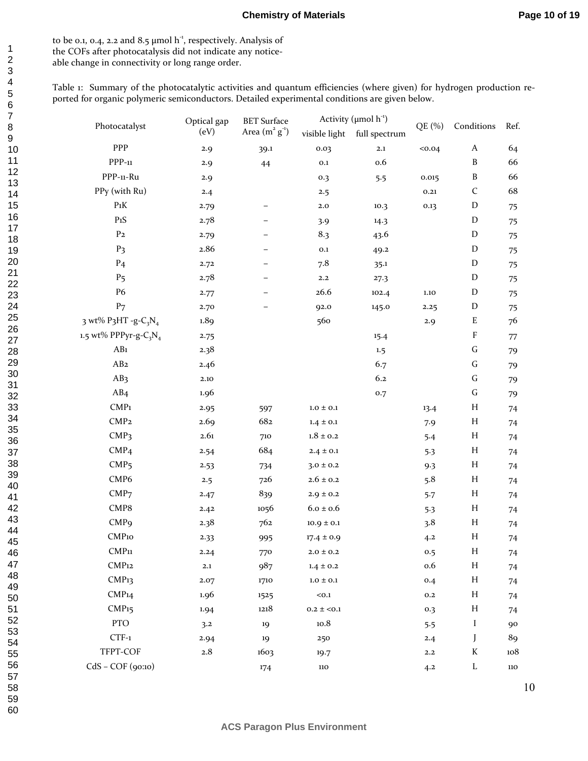to be 0.1, 0.4, 2.2 and 8.5  $\mu$ mol h<sup>-1</sup>, respectively. Analysis of the COFs after photocatalysis did not indicate any noticeable change in connectivity or long range order.

Table 1: Summary of the photocatalytic activities and quantum efficiencies (where given) for hydrogen production reported for organic polymeric semiconductors. Detailed experimental conditions are given below.

| Photocatalyst             | Optical gap<br>(eV) | <b>BET</b> Surface<br>Area $(m^2 g^{\text{-}1})$ | Activity ( $\mu$ mol h <sup>-1</sup> ) |                |        |                  |      |
|---------------------------|---------------------|--------------------------------------------------|----------------------------------------|----------------|--------|------------------|------|
|                           |                     |                                                  | visible light                          | full spectrum  | QE (%) | Conditions       | Ref. |
| PPP                       | 2.9                 | 39.1                                             | 0.03                                   | $\mathbf{2.1}$ | 0.04   | $\boldsymbol{A}$ | 64   |
| $PPP-11$                  | 2.9                 | 44                                               | $_{\rm 0.1}$                           | 0.6            |        | $\, {\bf B}$     | 66   |
| PPP-11-Ru                 | 2.9                 |                                                  | 0.3                                    | 5.5            | 0.015  | $\, {\bf B}$     | 66   |
| PPy (with Ru)             | 2.4                 |                                                  | 2.5                                    |                | 0.21   | $\mathsf C$      | 68   |
| $P_1K$                    | 2.79                |                                                  | $2.0\,$                                | 10.3           | 0.13   | $\mathbf D$      | 75   |
| $P_1S$                    | 2.78                |                                                  | 3.9                                    | 14.3           |        | $\mathbf D$      | 75   |
| P <sub>2</sub>            | 2.79                |                                                  | 8.3                                    | 43.6           |        | $\mathbf D$      | 75   |
| P <sub>3</sub>            | 2.86                |                                                  | 0.1                                    | 49.2           |        | $\mathbf D$      | 75   |
| P <sub>4</sub>            | 2.72                | $\overline{\phantom{0}}$                         | 7.8                                    | 35.1           |        | $\mathbf D$      | 75   |
| P <sub>5</sub>            | 2.78                | -                                                | $\mathbf{2.2}$                         | 27.3           |        | ${\rm D}$        | 75   |
| P6                        | 2.77                |                                                  | 26.6                                   | 102.4          | 1.10   | $\mathbf D$      | 75   |
| P <sub>7</sub>            | 2.70                |                                                  | 92.0                                   | 145.0          | 2.25   | $\mathbf D$      | 75   |
| 3 wt% P3HT -g- $C_3N_4$   | 1.89                |                                                  | 560                                    |                | 2.9    | ${\bf E}$        | 76   |
| 1.5 wt% PPPyr-g- $C_3N_4$ | 2.75                |                                                  |                                        | 15.4           |        | ${\bf F}$        | 77   |
| AB1                       | 2.38                |                                                  |                                        | 1.5            |        | ${\bf G}$        | 79   |
| AB <sub>2</sub>           | 2.46                |                                                  |                                        | 6.7            |        | ${\bf G}$        | 79   |
| AB <sub>3</sub>           | 2.10                |                                                  |                                        | 6.2            |        | ${\bf G}$        | 79   |
| AB4                       | 1.96                |                                                  |                                        | 0.7            |        | ${\bf G}$        | 79   |
| $\mathsf{CMP}_1$          | 2.95                | 597                                              | $1.0 \pm 0.1$                          |                | 13.4   | $H_{\rm}$        | 74   |
| CMP <sub>2</sub>          | 2.69                | 682                                              | $1.4 \pm 0.1$                          |                | 7.9    | $H_{\rm}$        | 74   |
| CMP <sub>3</sub>          | 2.61                | 710                                              | $1.8\pm0.2$                            |                | 5.4    | $H_{\rm}$        | 74   |
| CMP <sub>4</sub>          | 2.54                | 684                                              | $2.4 \pm 0.1$                          |                | 5.3    | $H_{\rm}$        | 74   |
| CMP <sub>5</sub>          | 2.53                | 734                                              | $3.0 \pm 0.2$                          |                | 9.3    | $H_{\rm}$        | 74   |
| CMP <sub>6</sub>          | 2.5                 | 726                                              | $2.6\pm0.2$                            |                | 5.8    | $H_{\rm}$        | 74   |
| CMP <sub>7</sub>          | 2.47                | 839                                              | $2.9 \pm 0.2$                          |                | 5.7    | $H_{\rm}$        | 74   |
| CMP8                      | 2.42                | 1056                                             | $6.0 \pm 0.6$                          |                | 5.3    | $H_{\rm}$        | 74   |
| CMP <sub>9</sub>          | 2.38                | 762                                              | $10.9 \pm 0.1$                         |                | 3.8    | $H_{\rm}$        | 74   |
| CMP <sub>10</sub>         | 2.33                | 995                                              | $17.4 \pm 0.9$                         |                | 4.2    | $H_{\rm}$        | 74   |
| CMP <sub>11</sub>         | 2.24                | 770                                              | $2.0 \pm 0.2$                          |                | 0.5    | $H_{\rm}$        | 74   |
| CMP <sub>12</sub>         | $\mathbf{2.1}$      | 987                                              | $1.4 \pm 0.2$                          |                | 0.6    | $H_{\rm}$        | 74   |
| CMP <sub>13</sub>         | 2.07                | 1710                                             | $1.0\pm0.1$                            |                | 0.4    | $H_{\rm}$        | 74   |
| CMP <sub>14</sub>         | 1.96                | 1525                                             | $0.1$                                  |                | 0.2    | $H_{\rm}$        | 74   |
| CMP <sub>15</sub>         | 1.94                | 1218                                             | $0.2 \pm 0.1$                          |                | 0.3    | $H_{\rm}$        | 74   |
| PTO                       | 3.2                 | 19                                               | 10.8                                   |                | 5.5    | I                | 90   |
| $CTF-1$                   | 2.94                | 19                                               | 250                                    |                | 2.4    | J                | 89   |
| TFPT-COF                  | $2.8\,$             | 1603                                             | 19.7                                   |                | 2.2    | K                | 108  |
| CdS - COF (90:10)         |                     | 174                                              | 110                                    |                | 4.2    | L                | 110  |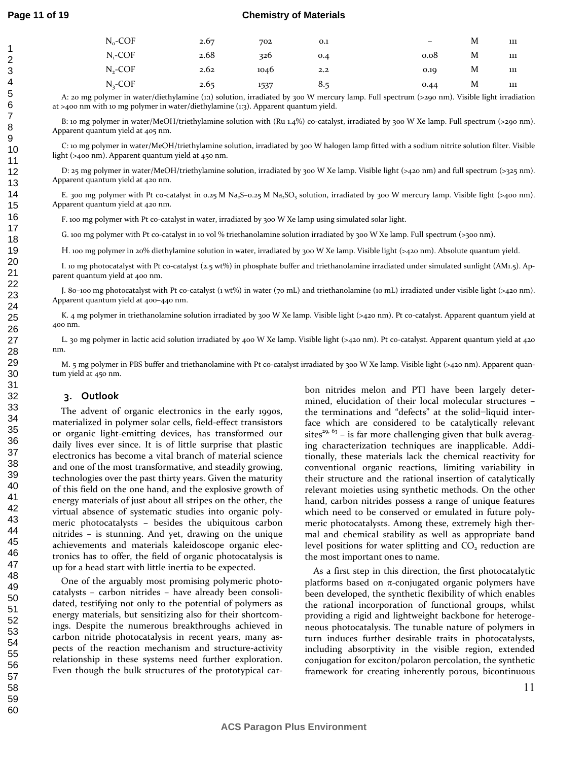#### **Chemistry of Materials**

| $N_o$ -COF   | 2.67 | 702  | 0.1 | -    | M | 111 |
|--------------|------|------|-----|------|---|-----|
| $N - COF$    | 2.68 | 326  | 0.4 | 0.08 | M | 111 |
| $N_{2}$ -COF | 2.62 | 1046 | 2.2 | 0.19 | M | 111 |
| $N,$ -COF    | 2.65 | 1537 | 8.5 | 0.44 | M | 111 |

A: 20 mg polymer in water/diethylamine (1:1) solution, irradiated by 300 W mercury lamp. Full spectrum (>290 nm). Visible light irradiation at >400 nm with 10 mg polymer in water/diethylamine (1:3). Apparent quantum yield.

B: 10 mg polymer in water/MeOH/triethylamine solution with (Ru 1.4%) co-catalyst, irradiated by 300 W Xe lamp. Full spectrum (>290 nm). Apparent quantum yield at 405 nm.

C: 10 mg polymer in water/MeOH/triethylamine solution, irradiated by 300 W halogen lamp fitted with a sodium nitrite solution filter. Visible light (>400 nm). Apparent quantum yield at 450 nm.

D: 25 mg polymer in water/MeOH/triethylamine solution, irradiated by 300 W Xe lamp. Visible light (>420 nm) and full spectrum (>325 nm). Apparent quantum yield at 420 nm.

E. 300 mg polymer with Pt co-catalyst in 0.25 M Na<sub>2</sub>S-0.25 M Na<sub>2</sub>SO<sub>3</sub> solution, irradiated by 300 W mercury lamp. Visible light (>400 nm). Apparent quantum yield at 420 nm.

F. 100 mg polymer with Pt co-catalyst in water, irradiated by 300 W Xe lamp using simulated solar light.

G. 100 mg polymer with Pt co-catalyst in 10 vol % triethanolamine solution irradiated by 300 W Xe lamp. Full spectrum (>300 nm).

H. 100 mg polymer in 20% diethylamine solution in water, irradiated by 300 W Xe lamp. Visible light (>420 nm). Absolute quantum yield.

I. 10 mg photocatalyst with Pt co-catalyst (2.5 wt%) in phosphate buffer and triethanolamine irradiated under simulated sunlight (AM1.5). Apparent quantum yield at 400 nm.

J. 80–100 mg photocatalyst with Pt co-catalyst (1 wt%) in water (70 mL) and triethanolamine (10 mL) irradiated under visible light (>420 nm). Apparent quantum yield at 400–440 nm.

K. 4 mg polymer in triethanolamine solution irradiated by 300 W Xe lamp. Visible light (>420 nm). Pt co-catalyst. Apparent quantum yield at 400 nm.

L. 30 mg polymer in lactic acid solution irradiated by 400 W Xe lamp. Visible light (>420 nm). Pt co-catalyst. Apparent quantum yield at 420 nm.

M. 5 mg polymer in PBS buffer and triethanolamine with Pt co-catalyst irradiated by 300 W Xe lamp. Visible light (>420 nm). Apparent quantum yield at 450 nm.

#### **3. Outlook**

The advent of organic electronics in the early 1990s, materialized in polymer solar cells, field-effect transistors or organic light-emitting devices, has transformed our daily lives ever since. It is of little surprise that plastic electronics has become a vital branch of material science and one of the most transformative, and steadily growing, technologies over the past thirty years. Given the maturity of this field on the one hand, and the explosive growth of energy materials of just about all stripes on the other, the virtual absence of systematic studies into organic polymeric photocatalysts – besides the ubiquitous carbon nitrides – is stunning. And yet, drawing on the unique achievements and materials kaleidoscope organic electronics has to offer, the field of organic photocatalysis is up for a head start with little inertia to be expected.

One of the arguably most promising polymeric photocatalysts – carbon nitrides – have already been consolidated, testifying not only to the potential of polymers as energy materials, but sensitizing also for their shortcomings. Despite the numerous breakthroughs achieved in carbon nitride photocatalysis in recent years, many aspects of the reaction mechanism and structure-activity relationship in these systems need further exploration. Even though the bulk structures of the prototypical car-

bon nitrides melon and PTI have been largely determined, elucidation of their local molecular structures – the terminations and "defects" at the solid−liquid interface which are considered to be catalytically relevant sites<sup>29, 63</sup> – is far more challenging given that bulk averaging characterization techniques are inapplicable. Additionally, these materials lack the chemical reactivity for conventional organic reactions, limiting variability in their structure and the rational insertion of catalytically relevant moieties using synthetic methods. On the other hand, carbon nitrides possess a range of unique features which need to be conserved or emulated in future polymeric photocatalysts. Among these, extremely high thermal and chemical stability as well as appropriate band level positions for water splitting and  $CO<sub>2</sub>$  reduction are the most important ones to name.

As a first step in this direction, the first photocatalytic platforms based on  $π$ -conjugated organic polymers have been developed, the synthetic flexibility of which enables the rational incorporation of functional groups, whilst providing a rigid and lightweight backbone for heterogeneous photocatalysis. The tunable nature of polymers in turn induces further desirable traits in photocatalysts, including absorptivity in the visible region, extended conjugation for exciton/polaron percolation, the synthetic framework for creating inherently porous, bicontinuous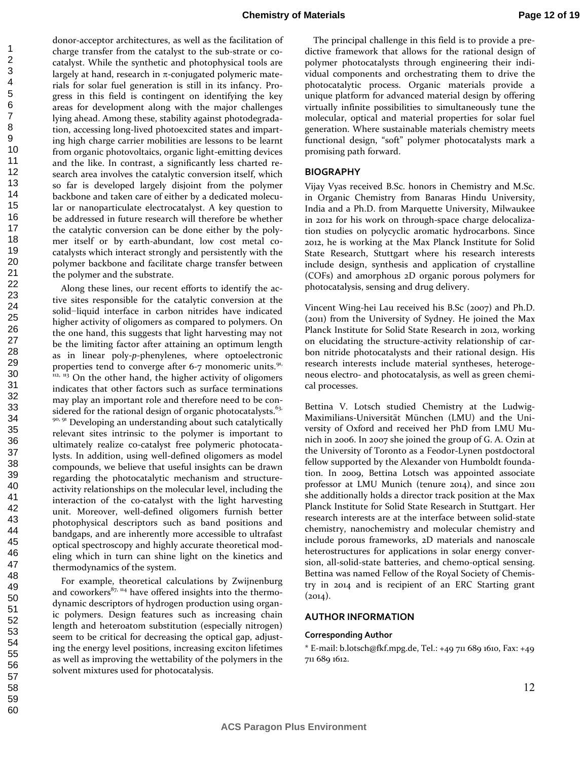donor-acceptor architectures, as well as the facilitation of charge transfer from the catalyst to the sub-strate or cocatalyst. While the synthetic and photophysical tools are largely at hand, research in  $\pi$ -conjugated polymeric materials for solar fuel generation is still in its infancy. Progress in this field is contingent on identifying the key areas for development along with the major challenges lying ahead. Among these, stability against photodegradation, accessing long-lived photoexcited states and imparting high charge carrier mobilities are lessons to be learnt from organic photovoltaics, organic light-emitting devices and the like. In contrast, a significantly less charted research area involves the catalytic conversion itself, which so far is developed largely disjoint from the polymer backbone and taken care of either by a dedicated molecular or nanoparticulate electrocatalyst. A key question to be addressed in future research will therefore be whether the catalytic conversion can be done either by the polymer itself or by earth-abundant, low cost metal cocatalysts which interact strongly and persistently with the polymer backbone and facilitate charge transfer between the polymer and the substrate.

Along these lines, our recent efforts to identify the active sites responsible for the catalytic conversion at the solid−liquid interface in carbon nitrides have indicated higher activity of oligomers as compared to polymers. On the one hand, this suggests that light harvesting may not be the limiting factor after attaining an optimum length as in linear poly-*p*-phenylenes, where optoelectronic properties tend to converge after 6-7 monomeric units. $91$ ,  $112, 113$  On the other hand, the higher activity of oligomers indicates that other factors such as surface terminations may play an important role and therefore need to be considered for the rational design of organic photocatalysts. $63$ , <sup>90, 91</sup> Developing an understanding about such catalytically relevant sites intrinsic to the polymer is important to ultimately realize co-catalyst free polymeric photocatalysts. In addition, using well-defined oligomers as model compounds, we believe that useful insights can be drawn regarding the photocatalytic mechanism and structureactivity relationships on the molecular level, including the interaction of the co-catalyst with the light harvesting unit. Moreover, well-defined oligomers furnish better photophysical descriptors such as band positions and bandgaps, and are inherently more accessible to ultrafast optical spectroscopy and highly accurate theoretical modeling which in turn can shine light on the kinetics and thermodynamics of the system.

For example, theoretical calculations by Zwijnenburg and coworkers $87, 114$  have offered insights into the thermodynamic descriptors of hydrogen production using organic polymers. Design features such as increasing chain length and heteroatom substitution (especially nitrogen) seem to be critical for decreasing the optical gap, adjusting the energy level positions, increasing exciton lifetimes as well as improving the wettability of the polymers in the solvent mixtures used for photocatalysis.

The principal challenge in this field is to provide a predictive framework that allows for the rational design of polymer photocatalysts through engineering their individual components and orchestrating them to drive the photocatalytic process. Organic materials provide a unique platform for advanced material design by offering virtually infinite possibilities to simultaneously tune the molecular, optical and material properties for solar fuel generation. Where sustainable materials chemistry meets functional design, "soft" polymer photocatalysts mark a promising path forward.

#### **BIOGRAPHY**

Vijay Vyas received B.Sc. honors in Chemistry and M.Sc. in Organic Chemistry from Banaras Hindu University, India and a Ph.D. from Marquette University, Milwaukee in 2012 for his work on through-space charge delocalization studies on polycyclic aromatic hydrocarbons. Since 2012, he is working at the Max Planck Institute for Solid State Research, Stuttgart where his research interests include design, synthesis and application of crystalline (COFs) and amorphous 2D organic porous polymers for photocatalysis, sensing and drug delivery.

Vincent Wing-hei Lau received his B.Sc (2007) and Ph.D. (2011) from the University of Sydney. He joined the Max Planck Institute for Solid State Research in 2012, working on elucidating the structure-activity relationship of carbon nitride photocatalysts and their rational design. His research interests include material syntheses, heterogeneous electro- and photocatalysis, as well as green chemical processes.

Bettina V. Lotsch studied Chemistry at the Ludwig-Maximilians-Universität München (LMU) and the University of Oxford and received her PhD from LMU Munich in 2006. In 2007 she joined the group of G. A. Ozin at the University of Toronto as a Feodor-Lynen postdoctoral fellow supported by the Alexander von Humboldt foundation. In 2009, Bettina Lotsch was appointed associate professor at LMU Munich (tenure 2014), and since 2011 she additionally holds a director track position at the Max Planck Institute for Solid State Research in Stuttgart. Her research interests are at the interface between solid-state chemistry, nanochemistry and molecular chemistry and include porous frameworks, 2D materials and nanoscale heterostructures for applications in solar energy conversion, all-solid-state batteries, and chemo-optical sensing. Bettina was named Fellow of the Royal Society of Chemistry in 2014 and is recipient of an ERC Starting grant  $(2014).$ 

#### **AUTHOR INFORMATION**

#### **Corresponding Author**

\* E-mail: b.lotsch@fkf.mpg.de, Tel.: +49 711 689 1610, Fax: +49 711 689 1612.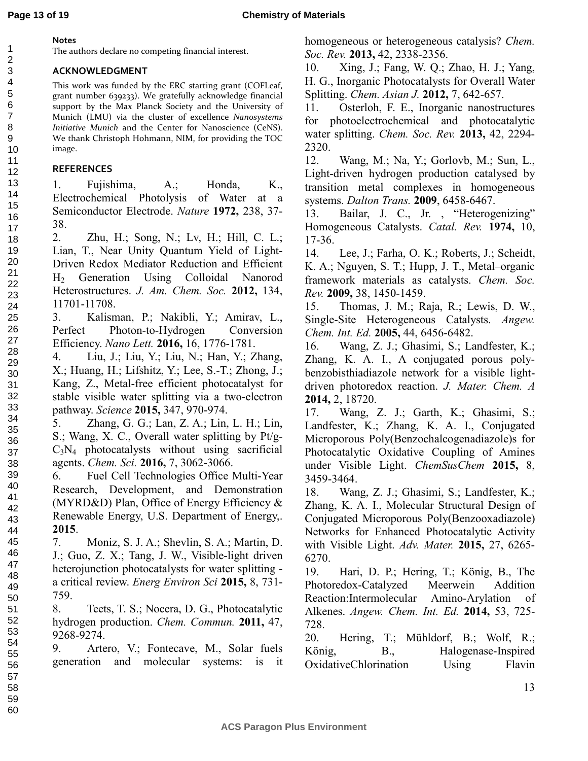### **Notes**

The authors declare no competing financial interest.

## **ACKNOWLEDGMENT**

This work was funded by the ERC starting grant (COFLeaf, grant number 639233). We gratefully acknowledge financial support by the Max Planck Society and the University of Munich (LMU) via the cluster of excellence *Nanosystems Initiative Munich* and the Center for Nanoscience (CeNS). We thank Christoph Hohmann, NIM, for providing the TOC image.

# **REFERENCES**

1. Fujishima, A.; Honda, K., Electrochemical Photolysis of Water at a Semiconductor Electrode. *Nature* **1972,** 238, 37- 38.

2. Zhu, H.; Song, N.; Lv, H.; Hill, C. L.; Lian, T., Near Unity Quantum Yield of Light-Driven Redox Mediator Reduction and Efficient H2 Generation Using Colloidal Nanorod Heterostructures. *J. Am. Chem. Soc.* **2012,** 134, 11701-11708.

3. Kalisman, P.; Nakibli, Y.; Amirav, L., Perfect Photon-to-Hydrogen Conversion Efficiency. *Nano Lett.* **2016,** 16, 1776-1781.

4. Liu, J.; Liu, Y.; Liu, N.; Han, Y.; Zhang, X.; Huang, H.; Lifshitz, Y.; Lee, S.-T.; Zhong, J.; Kang, Z., Metal-free efficient photocatalyst for stable visible water splitting via a two-electron pathway. *Science* **2015,** 347, 970-974.

5. Zhang, G. G.; Lan, Z. A.; Lin, L. H.; Lin, S.; Wang, X. C., Overall water splitting by Pt/g- $C_3N_4$  photocatalysts without using sacrificial agents. *Chem. Sci.* **2016,** 7, 3062-3066.

6. Fuel Cell Technologies Office Multi-Year Research, Development, and Demonstration (MYRD&D) Plan, Office of Energy Efficiency & Renewable Energy, U.S. Department of Energy,. **2015**.

7. Moniz, S. J. A.; Shevlin, S. A.; Martin, D. J.; Guo, Z. X.; Tang, J. W., Visible-light driven heterojunction photocatalysts for water splitting a critical review. *Energ Environ Sci* **2015,** 8, 731- 759.

8. Teets, T. S.; Nocera, D. G., Photocatalytic hydrogen production. *Chem. Commun.* **2011,** 47, 9268-9274.

9. Artero, V.; Fontecave, M., Solar fuels generation and molecular systems: is it homogeneous or heterogeneous catalysis? *Chem. Soc. Rev.* **2013,** 42, 2338-2356.

10. Xing, J.; Fang, W. Q.; Zhao, H. J.; Yang, H. G., Inorganic Photocatalysts for Overall Water Splitting. *Chem. Asian J.* **2012,** 7, 642-657.

11. Osterloh, F. E., Inorganic nanostructures for photoelectrochemical and photocatalytic water splitting. *Chem. Soc. Rev.* **2013,** 42, 2294- 2320.

12. Wang, M.; Na, Y.; Gorlovb, M.; Sun, L., Light-driven hydrogen production catalysed by transition metal complexes in homogeneous systems. *Dalton Trans.* **2009**, 6458-6467.

13. Bailar, J. C., Jr., "Heterogenizing" Homogeneous Catalysts. *Catal. Rev.* **1974,** 10, 17-36.

14. Lee, J.; Farha, O. K.; Roberts, J.; Scheidt, K. A.; Nguyen, S. T.; Hupp, J. T., Metal–organic framework materials as catalysts. *Chem. Soc. Rev.* **2009,** 38, 1450-1459.

15. Thomas, J. M.; Raja, R.; Lewis, D. W., Single-Site Heterogeneous Catalysts. *Angew. Chem. Int. Ed.* **2005,** 44, 6456-6482.

16. Wang, Z. J.; Ghasimi, S.; Landfester, K.; Zhang, K. A. I., A conjugated porous polybenzobisthiadiazole network for a visible lightdriven photoredox reaction. *J. Mater. Chem. A*  **2014,** 2, 18720.

17. Wang, Z. J.; Garth, K.; Ghasimi, S.; Landfester, K.; Zhang, K. A. I., Conjugated Microporous Poly(Benzochalcogenadiazole)s for Photocatalytic Oxidative Coupling of Amines under Visible Light. *ChemSusChem* **2015,** 8, 3459-3464.

18. Wang, Z. J.; Ghasimi, S.; Landfester, K.; Zhang, K. A. I., Molecular Structural Design of Conjugated Microporous Poly(Benzooxadiazole) Networks for Enhanced Photocatalytic Activity with Visible Light. *Adv. Mater.* **2015,** 27, 6265- 6270.

19. Hari, D. P.; Hering, T.; König, B., The Photoredox-Catalyzed Meerwein Addition Reaction:Intermolecular Amino-Arylation of Alkenes. *Angew. Chem. Int. Ed.* **2014,** 53, 725- 728.

20. Hering, T.; Mühldorf, B.; Wolf, R.; König, B., Halogenase-Inspired OxidativeChlorination Using Flavin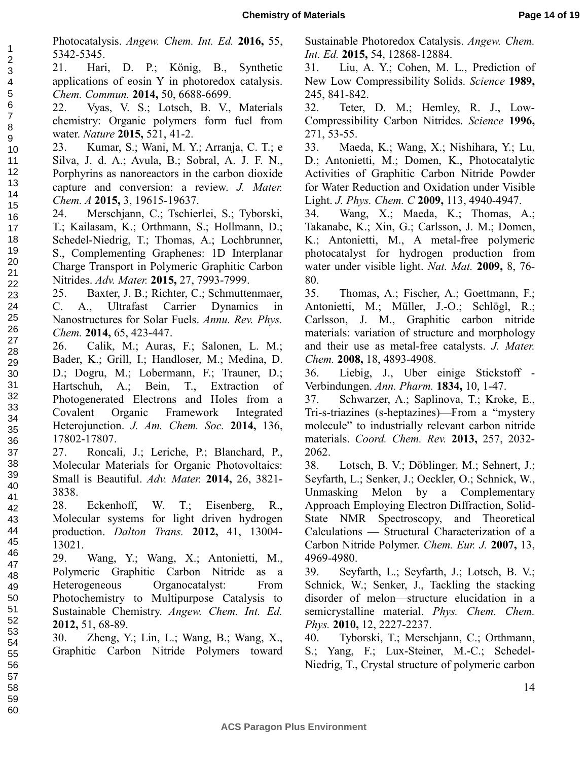Photocatalysis. *Angew. Chem. Int. Ed.* **2016,** 55, 5342-5345.

21. Hari, D. P.; König, B., Synthetic applications of eosin Y in photoredox catalysis. *Chem. Commun.* **2014,** 50, 6688-6699.

22. Vyas, V. S.; Lotsch, B. V., Materials chemistry: Organic polymers form fuel from water. *Nature* **2015,** 521, 41-2.

23. Kumar, S.; Wani, M. Y.; Arranja, C. T.; e Silva, J. d. A.; Avula, B.; Sobral, A. J. F. N., Porphyrins as nanoreactors in the carbon dioxide capture and conversion: a review. *J. Mater. Chem. A* **2015,** 3, 19615-19637.

24. Merschjann, C.; Tschierlei, S.; Tyborski, T.; Kailasam, K.; Orthmann, S.; Hollmann, D.; Schedel-Niedrig, T.; Thomas, A.; Lochbrunner, S., Complementing Graphenes: 1D Interplanar Charge Transport in Polymeric Graphitic Carbon Nitrides. *Adv. Mater.* **2015,** 27, 7993-7999.

25. Baxter, J. B.; Richter, C.; Schmuttenmaer, C. A., Ultrafast Carrier Dynamics in Nanostructures for Solar Fuels. *Annu. Rev. Phys. Chem.* **2014,** 65, 423-447.

26. Calik, M.; Auras, F.; Salonen, L. M.; Bader, K.; Grill, I.; Handloser, M.; Medina, D. D.; Dogru, M.; Lobermann, F.; Trauner, D.; Hartschuh, A.; Bein, T., Extraction of Photogenerated Electrons and Holes from a Covalent Organic Framework Integrated Heterojunction. *J. Am. Chem. Soc.* **2014,** 136, 17802-17807.

27. Roncali, J.; Leriche, P.; Blanchard, P., Molecular Materials for Organic Photovoltaics: Small is Beautiful. *Adv. Mater.* **2014,** 26, 3821- 3838.

28. Eckenhoff, W. T.; Eisenberg, R., Molecular systems for light driven hydrogen production. *Dalton Trans.* **2012,** 41, 13004- 13021.

29. Wang, Y.; Wang, X.; Antonietti, M., Polymeric Graphitic Carbon Nitride as a Heterogeneous Organocatalyst: From Photochemistry to Multipurpose Catalysis to Sustainable Chemistry. *Angew. Chem. Int. Ed.*  **2012,** 51, 68-89.

30. Zheng, Y.; Lin, L.; Wang, B.; Wang, X., Graphitic Carbon Nitride Polymers toward

Sustainable Photoredox Catalysis. *Angew. Chem. Int. Ed.* **2015,** 54, 12868-12884.

31. Liu, A. Y.; Cohen, M. L., Prediction of New Low Compressibility Solids. *Science* **1989,** 245, 841-842.

32. Teter, D. M.; Hemley, R. J., Low-Compressibility Carbon Nitrides. *Science* **1996,** 271, 53-55.

33. Maeda, K.; Wang, X.; Nishihara, Y.; Lu, D.; Antonietti, M.; Domen, K., Photocatalytic Activities of Graphitic Carbon Nitride Powder for Water Reduction and Oxidation under Visible Light. *J. Phys. Chem. C* **2009,** 113, 4940-4947.

34. Wang, X.; Maeda, K.; Thomas, A.; Takanabe, K.; Xin, G.; Carlsson, J. M.; Domen, K.; Antonietti, M., A metal-free polymeric photocatalyst for hydrogen production from water under visible light. *Nat. Mat.* **2009,** 8, 76- 80.

35. Thomas, A.; Fischer, A.; Goettmann, F.; Antonietti, M.; Müller, J.-O.; Schlögl, R.; Carlsson, J. M., Graphitic carbon nitride materials: variation of structure and morphology and their use as metal-free catalysts. *J. Mater. Chem.* **2008,** 18, 4893-4908.

36. Liebig, J., Uber einige Stickstoff - Verbindungen. *Ann. Pharm.* **1834,** 10, 1-47.

37. Schwarzer, A.; Saplinova, T.; Kroke, E., Tri-s-triazines (s-heptazines)—From a "mystery molecule" to industrially relevant carbon nitride materials. *Coord. Chem. Rev.* **2013,** 257, 2032- 2062.

38. Lotsch, B. V.; Döblinger, M.; Sehnert, J.; Seyfarth, L.; Senker, J.; Oeckler, O.; Schnick, W., Unmasking Melon by a Complementary Approach Employing Electron Diffraction, Solid-State NMR Spectroscopy, and Theoretical Calculations — Structural Characterization of a Carbon Nitride Polymer. *Chem. Eur. J.* **2007,** 13, 4969-4980.

39. Seyfarth, L.; Seyfarth, J.; Lotsch, B. V.; Schnick, W.; Senker, J., Tackling the stacking disorder of melon—structure elucidation in a semicrystalline material. *Phys. Chem. Chem. Phys.* **2010,** 12, 2227-2237.

40. Tyborski, T.; Merschjann, C.; Orthmann, S.; Yang, F.; Lux-Steiner, M.-C.; Schedel-Niedrig, T., Crystal structure of polymeric carbon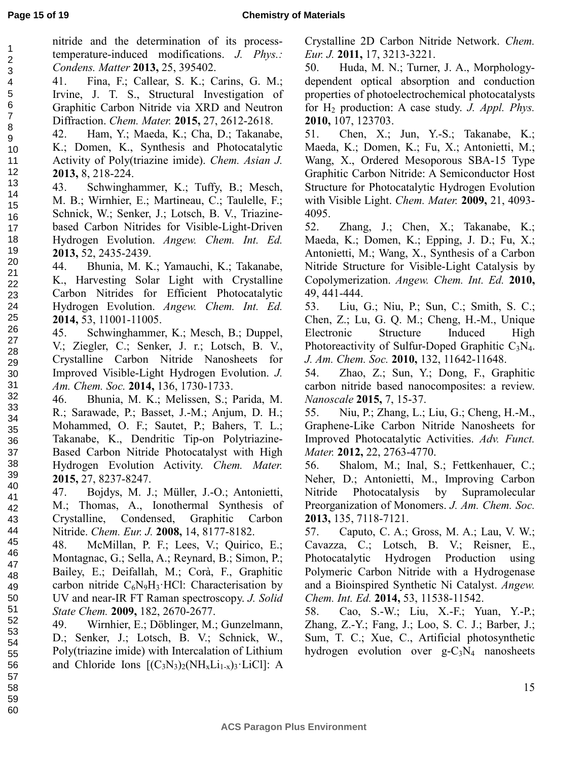nitride and the determination of its processtemperature-induced modifications. *J. Phys.: Condens. Matter* **2013,** 25, 395402.

41. Fina, F.; Callear, S. K.; Carins, G. M.; Irvine, J. T. S., Structural Investigation of Graphitic Carbon Nitride via XRD and Neutron Diffraction. *Chem. Mater.* **2015,** 27, 2612-2618. 3 4 5 6 7

42. Ham, Y.; Maeda, K.; Cha, D.; Takanabe, K.; Domen, K., Synthesis and Photocatalytic Activity of Poly(triazine imide). *Chem. Asian J.*  **2013,** 8, 218-224. 8 9 10 11 12

43. Schwinghammer, K.; Tuffy, B.; Mesch, M. B.; Wirnhier, E.; Martineau, C.; Taulelle, F.; Schnick, W.; Senker, J.; Lotsch, B. V., Triazinebased Carbon Nitrides for Visible-Light-Driven Hydrogen Evolution. *Angew. Chem. Int. Ed.*  **2013,** 52, 2435-2439. 13 14 15 16 17 18 19 20

44. Bhunia, M. K.; Yamauchi, K.; Takanabe, K., Harvesting Solar Light with Crystalline Carbon Nitrides for Efficient Photocatalytic Hydrogen Evolution. *Angew. Chem. Int. Ed.*  **2014,** 53, 11001-11005.

45. Schwinghammer, K.; Mesch, B.; Duppel, V.; Ziegler, C.; Senker, J. r.; Lotsch, B. V., Crystalline Carbon Nitride Nanosheets for Improved Visible-Light Hydrogen Evolution. *J. Am. Chem. Soc.* **2014,** 136, 1730-1733.

46. Bhunia, M. K.; Melissen, S.; Parida, M. R.; Sarawade, P.; Basset, J.-M.; Anjum, D. H.; Mohammed, O. F.; Sautet, P.; Bahers, T. L.; Takanabe, K., Dendritic Tip-on Polytriazine-Based Carbon Nitride Photocatalyst with High Hydrogen Evolution Activity. *Chem. Mater.*  **2015,** 27, 8237-8247.

47. Bojdys, M. J.; Müller, J.-O.; Antonietti, M.; Thomas, A., Ionothermal Synthesis of Crystalline, Condensed, Graphitic Carbon Nitride. *Chem. Eur. J.* **2008,** 14, 8177-8182.

48. McMillan, P. F.; Lees, V.; Quirico, E.; Montagnac, G.; Sella, A.; Reynard, B.; Simon, P.; Bailey, E.; Deifallah, M.; Corà, F., Graphitic carbon nitride  $C_6N_9H_3$  HCl: Characterisation by UV and near-IR FT Raman spectroscopy. *J. Solid State Chem.* **2009,** 182, 2670-2677.

49. Wirnhier, E.; Döblinger, M.; Gunzelmann, D.; Senker, J.; Lotsch, B. V.; Schnick, W., Poly(triazine imide) with Intercalation of Lithium and Chloride Ions  $[(C_3N_3)_2(NH_xLi_{1-x})_3 \cdot LiCl]$ : A

Crystalline 2D Carbon Nitride Network. *Chem. Eur. J.* **2011,** 17, 3213-3221.

50. Huda, M. N.; Turner, J. A., Morphologydependent optical absorption and conduction properties of photoelectrochemical photocatalysts for H2 production: A case study. *J. Appl. Phys.*  **2010,** 107, 123703.

51. Chen, X.; Jun, Y.-S.; Takanabe, K.; Maeda, K.; Domen, K.; Fu, X.; Antonietti, M.; Wang, X., Ordered Mesoporous SBA-15 Type Graphitic Carbon Nitride: A Semiconductor Host Structure for Photocatalytic Hydrogen Evolution with Visible Light. *Chem. Mater.* **2009,** 21, 4093- 4095.

52. Zhang, J.; Chen, X.; Takanabe, K.; Maeda, K.; Domen, K.; Epping, J. D.; Fu, X.; Antonietti, M.; Wang, X., Synthesis of a Carbon Nitride Structure for Visible-Light Catalysis by Copolymerization. *Angew. Chem. Int. Ed.* **2010,** 49, 441-444.

53. Liu, G.; Niu, P.; Sun, C.; Smith, S. C.; Chen, Z.; Lu, G. Q. M.; Cheng, H.-M., Unique Electronic Structure Induced High Photoreactivity of Sulfur-Doped Graphitic  $C_3N_4$ . *J. Am. Chem. Soc.* **2010,** 132, 11642-11648.

54. Zhao, Z.; Sun, Y.; Dong, F., Graphitic carbon nitride based nanocomposites: a review. *Nanoscale* **2015,** 7, 15-37.

55. Niu, P.; Zhang, L.; Liu, G.; Cheng, H.-M., Graphene-Like Carbon Nitride Nanosheets for Improved Photocatalytic Activities. *Adv. Funct. Mater.* **2012,** 22, 2763-4770.

56. Shalom, M.; Inal, S.; Fettkenhauer, C.; Neher, D.; Antonietti, M., Improving Carbon Nitride Photocatalysis by Supramolecular Preorganization of Monomers. *J. Am. Chem. Soc.*  **2013,** 135, 7118-7121.

57. Caputo, C. A.; Gross, M. A.; Lau, V. W.; Cavazza, C.; Lotsch, B. V.; Reisner, E., Photocatalytic Hydrogen Production using Polymeric Carbon Nitride with a Hydrogenase and a Bioinspired Synthetic Ni Catalyst. *Angew. Chem. Int. Ed.* **2014,** 53, 11538-11542.

58. Cao, S.-W.; Liu, X.-F.; Yuan, Y.-P.; Zhang, Z.-Y.; Fang, J.; Loo, S. C. J.; Barber, J.; Sum, T. C.; Xue, C., Artificial photosynthetic hydrogen evolution over  $g - C_3N_4$  nanosheets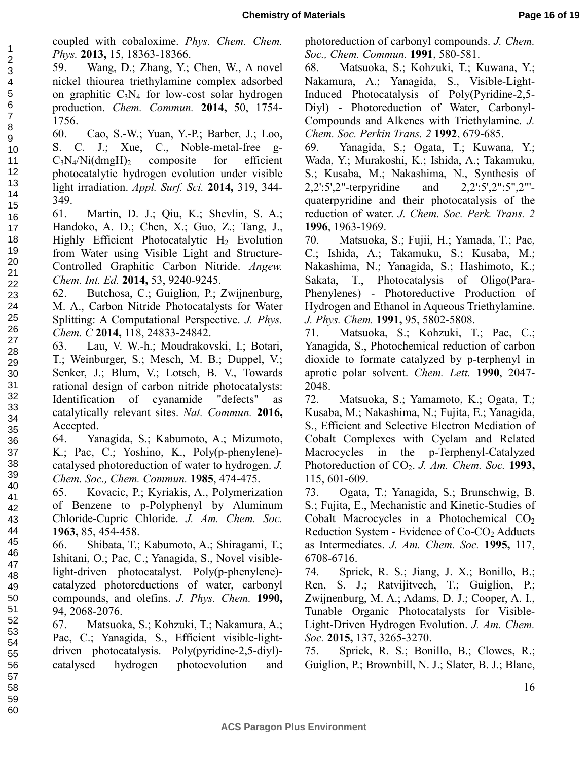coupled with cobaloxime. *Phys. Chem. Chem. Phys.* **2013,** 15, 18363-18366.

59. Wang, D.; Zhang, Y.; Chen, W., A novel nickel–thiourea–triethylamine complex adsorbed on graphitic  $C_3N_4$  for low-cost solar hydrogen production. *Chem. Commun.* **2014,** 50, 1754- 1756.

60. Cao, S.-W.; Yuan, Y.-P.; Barber, J.; Loo, S. C. J.; Xue, C., Noble-metal-free g- $C_3N_4/Ni(dmgH)_2$  composite for efficient photocatalytic hydrogen evolution under visible light irradiation. *Appl. Surf. Sci.* **2014,** 319, 344- 349.

61. Martin, D. J.; Qiu, K.; Shevlin, S. A.; Handoko, A. D.; Chen, X.; Guo, Z.; Tang, J., Highly Efficient Photocatalytic  $H_2$  Evolution from Water using Visible Light and Structure-Controlled Graphitic Carbon Nitride. *Angew. Chem. Int. Ed.* **2014,** 53, 9240-9245.

62. Butchosa, C.; Guiglion, P.; Zwijnenburg, M. A., Carbon Nitride Photocatalysts for Water Splitting: A Computational Perspective. *J. Phys. Chem. C* **2014,** 118, 24833-24842.

63. Lau, V. W.-h.; Moudrakovski, I.; Botari, T.; Weinburger, S.; Mesch, M. B.; Duppel, V.; Senker, J.; Blum, V.; Lotsch, B. V., Towards rational design of carbon nitride photocatalysts: Identification of cyanamide "defects" as catalytically relevant sites. *Nat. Commun.* **2016,** Accepted.

64. Yanagida, S.; Kabumoto, A.; Mizumoto, K.; Pac, C.; Yoshino, K., Poly(p-phenylene) catalysed photoreduction of water to hydrogen. *J. Chem. Soc., Chem. Commun.* **1985**, 474-475.

65. Kovacic, P.; Kyriakis, A., Polymerization of Benzene to p-Polyphenyl by Aluminum Chloride-Cupric Chloride. *J. Am. Chem. Soc.*  **1963,** 85, 454-458.

66. Shibata, T.; Kabumoto, A.; Shiragami, T.; Ishitani, O.; Pac, C.; Yanagida, S., Novel visiblelight-driven photocatalyst. Poly(p-phenylene) catalyzed photoreductions of water, carbonyl compounds, and olefins. *J. Phys. Chem.* **1990,** 94, 2068-2076.

67. Matsuoka, S.; Kohzuki, T.; Nakamura, A.; Pac, C.; Yanagida, S., Efficient visible-lightdriven photocatalysis. Poly(pyridine-2,5-diyl) catalysed hydrogen photoevolution and photoreduction of carbonyl compounds. *J. Chem. Soc., Chem. Commun.* **1991**, 580-581.

68. Matsuoka, S.; Kohzuki, T.; Kuwana, Y.; Nakamura, A.; Yanagida, S., Visible-Light-Induced Photocatalysis of Poly(Pyridine-2,5- Diyl) - Photoreduction of Water, Carbonyl-Compounds and Alkenes with Triethylamine. *J. Chem. Soc. Perkin Trans. 2* **1992**, 679-685.

69. Yanagida, S.; Ogata, T.; Kuwana, Y.; Wada, Y.; Murakoshi, K.; Ishida, A.; Takamuku, S.; Kusaba, M.; Nakashima, N., Synthesis of 2,2':5',2"-terpyridine and 2,2':5',2":5",2"' quaterpyridine and their photocatalysis of the reduction of water. *J. Chem. Soc. Perk. Trans. 2*  **1996**, 1963-1969.

70. Matsuoka, S.; Fujii, H.; Yamada, T.; Pac, C.; Ishida, A.; Takamuku, S.; Kusaba, M.; Nakashima, N.; Yanagida, S.; Hashimoto, K.; Sakata, T., Photocatalysis of Oligo(Para-Phenylenes) - Photoreductive Production of Hydrogen and Ethanol in Aqueous Triethylamine. *J. Phys. Chem.* **1991,** 95, 5802-5808.

71. Matsuoka, S.; Kohzuki, T.; Pac, C.; Yanagida, S., Photochemical reduction of carbon dioxide to formate catalyzed by p-terphenyl in aprotic polar solvent. *Chem. Lett.* **1990**, 2047- 2048.

72. Matsuoka, S.; Yamamoto, K.; Ogata, T.; Kusaba, M.; Nakashima, N.; Fujita, E.; Yanagida, S., Efficient and Selective Electron Mediation of Cobalt Complexes with Cyclam and Related Macrocycles in the p-Terphenyl-Catalyzed Photoreduction of CO<sub>2</sub>. *J. Am. Chem. Soc.* **1993,** 115, 601-609.

73. Ogata, T.; Yanagida, S.; Brunschwig, B. S.; Fujita, E., Mechanistic and Kinetic-Studies of Cobalt Macrocycles in a Photochemical  $CO<sub>2</sub>$ Reduction System - Evidence of Co-CO<sub>2</sub> Adducts as Intermediates. *J. Am. Chem. Soc.* **1995,** 117, 6708-6716.

74. Sprick, R. S.; Jiang, J. X.; Bonillo, B.; Ren, S. J.; Ratvijitvech, T.; Guiglion, P.; Zwijnenburg, M. A.; Adams, D. J.; Cooper, A. I., Tunable Organic Photocatalysts for Visible-Light-Driven Hydrogen Evolution. *J. Am. Chem. Soc.* **2015,** 137, 3265-3270.

75. Sprick, R. S.; Bonillo, B.; Clowes, R.; Guiglion, P.; Brownbill, N. J.; Slater, B. J.; Blanc,

16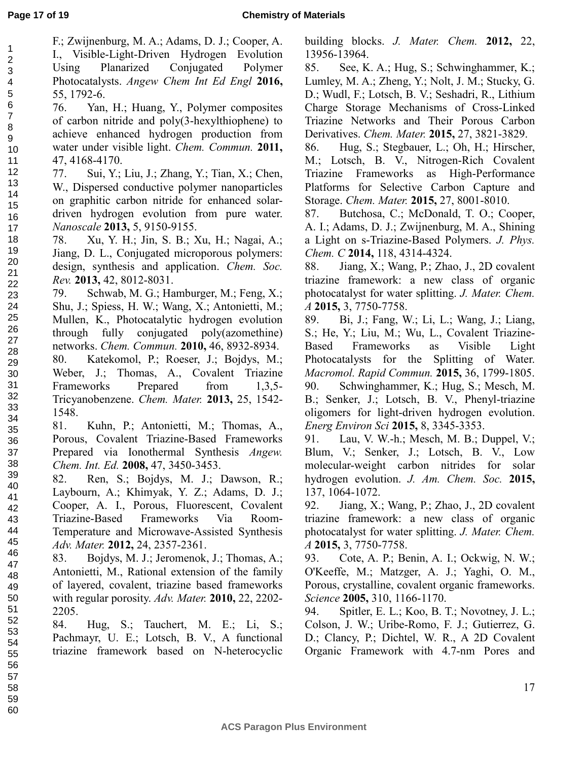F.; Zwijnenburg, M. A.; Adams, D. J.; Cooper, A.

I., Visible-Light-Driven Hydrogen Evolution Using Planarized Conjugated Polymer Photocatalysts. *Angew Chem Int Ed Engl* **2016,** 55, 1792-6.

76. Yan, H.; Huang, Y., Polymer composites of carbon nitride and poly(3-hexylthiophene) to achieve enhanced hydrogen production from water under visible light. *Chem. Commun.* **2011,** 47, 4168-4170. 12

77. Sui, Y.; Liu, J.; Zhang, Y.; Tian, X.; Chen, W., Dispersed conductive polymer nanoparticles on graphitic carbon nitride for enhanced solardriven hydrogen evolution from pure water. *Nanoscale* **2013,** 5, 9150-9155.

78. Xu, Y. H.; Jin, S. B.; Xu, H.; Nagai, A.; Jiang, D. L., Conjugated microporous polymers: design, synthesis and application. *Chem. Soc. Rev.* **2013,** 42, 8012-8031. 18 19 20 21 22

79. Schwab, M. G.; Hamburger, M.; Feng, X.; Shu, J.; Spiess, H. W.; Wang, X.; Antonietti, M.; Mullen, K., Photocatalytic hydrogen evolution through fully conjugated poly(azomethine) networks. *Chem. Commun.* **2010,** 46, 8932-8934. 80. Katekomol, P.; Roeser, J.; Bojdys, M.; Weber, J.; Thomas, A., Covalent Triazine Frameworks Prepared from 1,3,5-Tricyanobenzene. *Chem. Mater.* **2013,** 25, 1542- 1548.

81. Kuhn, P.; Antonietti, M.; Thomas, A., Porous, Covalent Triazine-Based Frameworks Prepared via Ionothermal Synthesis *Angew. Chem. Int. Ed.* **2008,** 47, 3450-3453.

82. Ren, S.; Bojdys, M. J.; Dawson, R.; Laybourn, A.; Khimyak, Y. Z.; Adams, D. J.; Cooper, A. I., Porous, Fluorescent, Covalent Triazine-Based Frameworks Via Room-Temperature and Microwave-Assisted Synthesis *Adv. Mater.* **2012,** 24, 2357-2361.

83. Bojdys, M. J.; Jeromenok, J.; Thomas, A.; Antonietti, M., Rational extension of the family of layered, covalent, triazine based frameworks with regular porosity. *Adv. Mater.* **2010,** 22, 2202- 2205.

84. Hug, S.; Tauchert, M. E.; Li, S.; Pachmayr, U. E.; Lotsch, B. V., A functional triazine framework based on N-heterocyclic building blocks. *J. Mater. Chem.* **2012,** 22, 13956-13964.

85. See, K. A.; Hug, S.; Schwinghammer, K.; Lumley, M. A.; Zheng, Y.; Nolt, J. M.; Stucky, G. D.; Wudl, F.; Lotsch, B. V.; Seshadri, R., Lithium Charge Storage Mechanisms of Cross-Linked Triazine Networks and Their Porous Carbon Derivatives. *Chem. Mater.* **2015,** 27, 3821-3829.

86. Hug, S.; Stegbauer, L.; Oh, H.; Hirscher, M.; Lotsch, B. V., Nitrogen-Rich Covalent Triazine Frameworks as High-Performance Platforms for Selective Carbon Capture and Storage. *Chem. Mater.* **2015,** 27, 8001-8010.

87. Butchosa, C.; McDonald, T. O.; Cooper, A. I.; Adams, D. J.; Zwijnenburg, M. A., Shining a Light on s-Triazine-Based Polymers. *J. Phys. Chem. C* **2014,** 118, 4314-4324.

88. Jiang, X.; Wang, P.; Zhao, J., 2D covalent triazine framework: a new class of organic photocatalyst for water splitting. *J. Mater. Chem. A* **2015,** 3, 7750-7758.

89. Bi, J.; Fang, W.; Li, L.; Wang, J.; Liang, S.; He, Y.; Liu, M.; Wu, L., Covalent Triazine-Based Frameworks as Visible Light Photocatalysts for the Splitting of Water. *Macromol. Rapid Commun.* **2015,** 36, 1799-1805. 90. Schwinghammer, K.; Hug, S.; Mesch, M. B.; Senker, J.; Lotsch, B. V., Phenyl-triazine oligomers for light-driven hydrogen evolution. *Energ Environ Sci* **2015,** 8, 3345-3353.

91. Lau, V. W.-h.; Mesch, M. B.; Duppel, V.; Blum, V.; Senker, J.; Lotsch, B. V., Low molecular-weight carbon nitrides for solar hydrogen evolution. *J. Am. Chem. Soc.* **2015,** 137, 1064-1072.

92. Jiang, X.; Wang, P.; Zhao, J., 2D covalent triazine framework: a new class of organic photocatalyst for water splitting. *J. Mater. Chem. A* **2015,** 3, 7750-7758.

93. Cote, A. P.; Benin, A. I.; Ockwig, N. W.; O'Keeffe, M.; Matzger, A. J.; Yaghi, O. M., Porous, crystalline, covalent organic frameworks. *Science* **2005,** 310, 1166-1170.

94. Spitler, E. L.; Koo, B. T.; Novotney, J. L.; Colson, J. W.; Uribe-Romo, F. J.; Gutierrez, G. D.; Clancy, P.; Dichtel, W. R., A 2D Covalent Organic Framework with 4.7-nm Pores and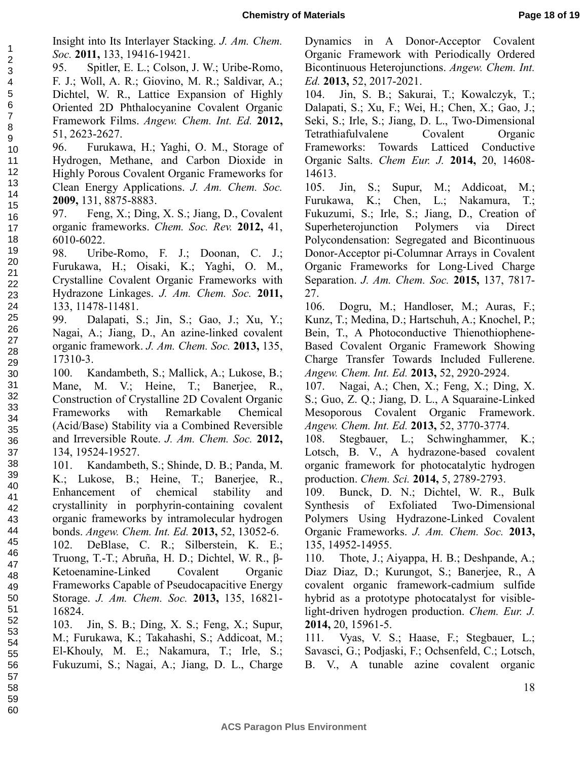*Soc.* **2011,** 133, 19416-19421. 95. Spitler, E. L.; Colson, J. W.; Uribe-Romo, F. J.; Woll, A. R.; Giovino, M. R.; Saldivar, A.; Dichtel, W. R., Lattice Expansion of Highly Oriented 2D Phthalocyanine Covalent Organic Framework Films. *Angew. Chem. Int. Ed.* **2012,** 51, 2623-2627.

43 44

96. Furukawa, H.; Yaghi, O. M., Storage of Hydrogen, Methane, and Carbon Dioxide in Highly Porous Covalent Organic Frameworks for Clean Energy Applications. *J. Am. Chem. Soc.*  **2009,** 131, 8875-8883.

97. Feng, X.; Ding, X. S.; Jiang, D., Covalent organic frameworks. *Chem. Soc. Rev.* **2012,** 41, 6010-6022.

98. Uribe-Romo, F. J.; Doonan, C. J.; Furukawa, H.; Oisaki, K.; Yaghi, O. M., Crystalline Covalent Organic Frameworks with Hydrazone Linkages. *J. Am. Chem. Soc.* **2011,** 133, 11478-11481.

99. Dalapati, S.; Jin, S.; Gao, J.; Xu, Y.; Nagai, A.; Jiang, D., An azine-linked covalent organic framework. *J. Am. Chem. Soc.* **2013,** 135, 17310-3.

100. Kandambeth, S.; Mallick, A.; Lukose, B.; Mane, M. V.; Heine, T.; Banerjee, R., Construction of Crystalline 2D Covalent Organic Frameworks with Remarkable Chemical (Acid/Base) Stability via a Combined Reversible and Irreversible Route. *J. Am. Chem. Soc.* **2012,** 134, 19524-19527.

101. Kandambeth, S.; Shinde, D. B.; Panda, M. K.; Lukose, B.; Heine, T.; Banerjee, R., Enhancement of chemical stability and crystallinity in porphyrin-containing covalent organic frameworks by intramolecular hydrogen bonds. *Angew. Chem. Int. Ed.* **2013,** 52, 13052-6. 42

102. DeBlase, C. R.; Silberstein, K. E.; Truong, T.-T.; Abruña, H. D.; Dichtel, W. R., β-Ketoenamine-Linked Covalent Organic Frameworks Capable of Pseudocapacitive Energy Storage. *J. Am. Chem. Soc.* **2013,** 135, 16821- 16824. 45 46 47 48 49 50 51

103. Jin, S. B.; Ding, X. S.; Feng, X.; Supur, M.; Furukawa, K.; Takahashi, S.; Addicoat, M.; El-Khouly, M. E.; Nakamura, T.; Irle, S.; Fukuzumi, S.; Nagai, A.; Jiang, D. L., Charge 52 53 54 55 56

Dynamics in A Donor-Acceptor Covalent Organic Framework with Periodically Ordered Bicontinuous Heterojunctions. *Angew. Chem. Int. Ed.* **2013,** 52, 2017-2021.

104. Jin, S. B.; Sakurai, T.; Kowalczyk, T.; Dalapati, S.; Xu, F.; Wei, H.; Chen, X.; Gao, J.; Seki, S.; Irle, S.; Jiang, D. L., Two-Dimensional Tetrathiafulvalene Covalent Organic Frameworks: Towards Latticed Conductive Organic Salts. *Chem Eur. J.* **2014,** 20, 14608- 14613.

105. Jin, S.; Supur, M.; Addicoat, M.; Furukawa, K.; Chen, L.; Nakamura, T.; Fukuzumi, S.; Irle, S.; Jiang, D., Creation of Superheterojunction Polymers via Direct Polycondensation: Segregated and Bicontinuous Donor-Acceptor pi-Columnar Arrays in Covalent Organic Frameworks for Long-Lived Charge Separation. *J. Am. Chem. Soc.* **2015,** 137, 7817- 27.

106. Dogru, M.; Handloser, M.; Auras, F.; Kunz, T.; Medina, D.; Hartschuh, A.; Knochel, P.; Bein, T., A Photoconductive Thienothiophene-Based Covalent Organic Framework Showing Charge Transfer Towards Included Fullerene. *Angew. Chem. Int. Ed.* **2013,** 52, 2920-2924.

107. Nagai, A.; Chen, X.; Feng, X.; Ding, X. S.; Guo, Z. Q.; Jiang, D. L., A Squaraine-Linked Mesoporous Covalent Organic Framework. *Angew. Chem. Int. Ed.* **2013,** 52, 3770-3774.

108. Stegbauer, L.; Schwinghammer, K.; Lotsch, B. V., A hydrazone-based covalent organic framework for photocatalytic hydrogen production. *Chem. Sci.* **2014,** 5, 2789-2793.

109. Bunck, D. N.; Dichtel, W. R., Bulk Synthesis of Exfoliated Two-Dimensional Polymers Using Hydrazone-Linked Covalent Organic Frameworks. *J. Am. Chem. Soc.* **2013,** 135, 14952-14955.

110. Thote, J.; Aiyappa, H. B.; Deshpande, A.; Diaz Diaz, D.; Kurungot, S.; Banerjee, R., A covalent organic framework-cadmium sulfide hybrid as a prototype photocatalyst for visiblelight-driven hydrogen production. *Chem. Eur. J.*  **2014,** 20, 15961-5.

111. Vyas, V. S.; Haase, F.; Stegbauer, L.; Savasci, G.; Podjaski, F.; Ochsenfeld, C.; Lotsch, B. V., A tunable azine covalent organic